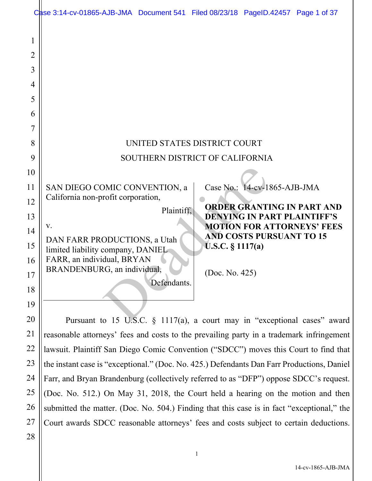|                                                                        | Case 3:14-cv-01865-AJB-JMA Document 541 Filed 08/23/18 PageID.42457 Page 1 of 37                                                                                                   |
|------------------------------------------------------------------------|------------------------------------------------------------------------------------------------------------------------------------------------------------------------------------|
| 1<br>$\overline{2}$<br>$\overline{3}$<br>$\overline{4}$<br>5<br>6<br>7 |                                                                                                                                                                                    |
| 8                                                                      | UNITED STATES DISTRICT COURT                                                                                                                                                       |
| 9                                                                      | SOUTHERN DISTRICT OF CALIFORNIA                                                                                                                                                    |
| 10                                                                     |                                                                                                                                                                                    |
| 11                                                                     | Case No.: 14-cv-1865-AJB-JMA<br>SAN DIEGO COMIC CONVENTION, a                                                                                                                      |
| 12                                                                     | California non-profit corporation,<br><b>ORDER GRANTING IN PART AND</b>                                                                                                            |
| 13                                                                     | Plaintiff,<br><b>DENYING IN PART PLAINTIFF'S</b>                                                                                                                                   |
| 14                                                                     | <b>MOTION FOR ATTORNEYS' FEES</b><br>V.<br><b>AND COSTS PURSUANT TO 15</b><br>DAN FARR PRODUCTIONS, a Utah                                                                         |
| 15                                                                     | <b>U.S.C.</b> § $1117(a)$<br>limited liability company, DANIEL                                                                                                                     |
| 16                                                                     | FARR, an individual, BRYAN<br>BRANDENBURG, an individual,                                                                                                                          |
| 17                                                                     | (Doc. No. 425)<br>Defendants.                                                                                                                                                      |
| 18                                                                     |                                                                                                                                                                                    |
| 19                                                                     |                                                                                                                                                                                    |
| 20<br>21                                                               | Pursuant to 15 U.S.C. $\S$ 1117(a), a court may in "exceptional cases" award                                                                                                       |
| 22                                                                     | reasonable attorneys' fees and costs to the prevailing party in a trademark infringement                                                                                           |
| 23                                                                     | lawsuit. Plaintiff San Diego Comic Convention ("SDCC") moves this Court to find that<br>the instant case is "exceptional." (Doc. No. 425.) Defendants Dan Farr Productions, Daniel |
| 24                                                                     | Farr, and Bryan Brandenburg (collectively referred to as "DFP") oppose SDCC's request.                                                                                             |
| 25                                                                     | (Doc. No. 512.) On May 31, 2018, the Court held a hearing on the motion and then                                                                                                   |
| 26                                                                     | submitted the matter. (Doc. No. 504.) Finding that this case is in fact "exceptional," the                                                                                         |
| 27                                                                     | Court awards SDCC reasonable attorneys' fees and costs subject to certain deductions.                                                                                              |
| 28                                                                     |                                                                                                                                                                                    |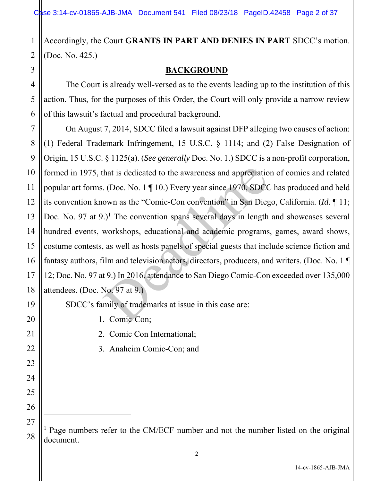Accordingly, the Court **GRANTS IN PART AND DENIES IN PART** SDCC's motion. (Doc. No. 425.)

# **BACKGROUND**

 The Court is already well-versed as to the events leading up to the institution of this action. Thus, for the purposes of this Order, the Court will only provide a narrow review of this lawsuit's factual and procedural background.

 On August 7, 2014, SDCC filed a lawsuit against DFP alleging two causes of action: (1) Federal Trademark Infringement, 15 U.S.C. § 1114; and (2) False Designation of Origin, 15 U.S.C. § 1125(a). (*See generally* Doc. No. 1.) SDCC is a non-profit corporation, formed in 1975, that is dedicated to the awareness and appreciation of comics and related popular art forms. (Doc. No. 1 ¶ 10.) Every year since 1970, SDCC has produced and held its convention known as the "Comic-Con convention" in San Diego, California. (*Id*. ¶ 11; Doc. No. 97 at  $9.$ <sup>1</sup> The convention spans several days in length and showcases several hundred events, workshops, educational and academic programs, games, award shows, costume contests, as well as hosts panels of special guests that include science fiction and fantasy authors, film and television actors, directors, producers, and writers. (Doc. No. 1 ¶ 12; Doc. No. 97 at 9.) In 2016, attendance to San Diego Comic-Con exceeded over 135,000 attendees. (Doc. No. 97 at 9.) that is dedicated to the awareness and appreciatio . (Doc. No. 1  $\P$  10.) Every year since 1970, SDCC own as the "Comic-Con convention" in San Diego.)<sup>1</sup> The convention spans several days in length workshops, educational

SDCC's family of trademarks at issue in this case are:

1. Comic-Con;

- 2. Comic Con International;
- 3. Anaheim Comic-Con; and

<sup>&</sup>lt;sup>1</sup> Page numbers refer to the CM/ECF number and not the number listed on the original document.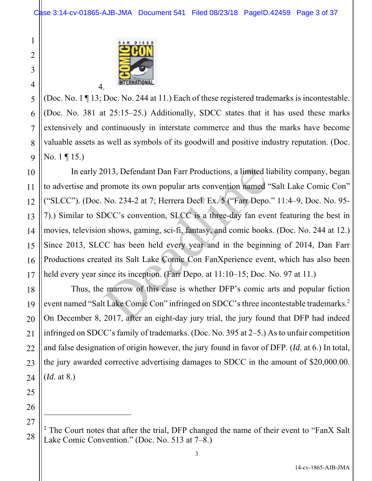

(Doc. No. 1 ¶ 13; Doc. No. 244 at 11.) Each of these registered trademarks is incontestable. (Doc. No. 381 at 25:15–25.) Additionally, SDCC states that it has used these marks extensively and continuously in interstate commerce and thus the marks have become valuable assets as well as symbols of its goodwill and positive industry reputation. (Doc. No. 1 ¶ 15.)

 In early 2013, Defendant Dan Farr Productions, a limited liability company, began to advertise and promote its own popular arts convention named "Salt Lake Comic Con" ("SLCC"). (Doc. No. 234-2 at 7; Herrera Decl. Ex. 5 ("Farr Depo." 11:4–9, Doc. No. 95- 7).) Similar to SDCC's convention, SLCC is a three-day fan event featuring the best in movies, television shows, gaming, sci-fi, fantasy, and comic books. (Doc. No. 244 at 12.) Since 2013, SLCC has been held every year and in the beginning of 2014, Dan Farr Productions created its Salt Lake Comic Con FanXperience event, which has also been held every year since its inception. (Farr Depo. at 11:10–15; Doc. No. 97 at 11.) 1013, Defendant Dan Farr Productions, a limited life or<br>promote its own popular arts convention named '<br>No. 234-2 at 7; Herrera Decl. Ex. 5 ("Farr Depo.<br>DCC's convention, SLCC is a three-day fan eve<br>n shows, gaming, sci-f

 Thus, the marrow of this case is whether DFP's comic arts and popular fiction event named "Salt Lake Comic Con" infringed on SDCC's three incontestable trademarks.<sup>2</sup> On December 8, 2017, after an eight-day jury trial, the jury found that DFP had indeed infringed on SDCC's family of trademarks. (Doc. No. 395 at 2–5.) As to unfair competition and false designation of origin however, the jury found in favor of DFP. (*Id*. at 6.) In total, the jury awarded corrective advertising damages to SDCC in the amount of \$20,000.00. (*Id*. at 8.)

1

2

3

4

5

6

7

8

9

10

11

12

13

14

15

16

17

18

<sup>&</sup>lt;sup>2</sup> The Court notes that after the trial, DFP changed the name of their event to "FanX Salt" Lake Comic Convention." (Doc. No. 513 at 7–8.)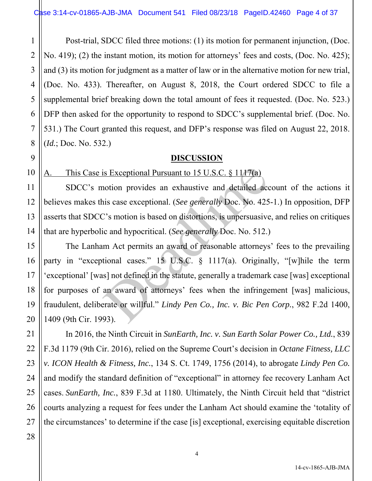Post-trial, SDCC filed three motions: (1) its motion for permanent injunction, (Doc. No. 419); (2) the instant motion, its motion for attorneys' fees and costs, (Doc. No. 425); and (3) its motion for judgment as a matter of law or in the alternative motion for new trial, (Doc. No. 433). Thereafter, on August 8, 2018, the Court ordered SDCC to file a supplemental brief breaking down the total amount of fees it requested. (Doc. No. 523.) DFP then asked for the opportunity to respond to SDCC's supplemental brief. (Doc. No. 531.) The Court granted this request, and DFP's response was filed on August 22, 2018. (*Id.*; Doc. No. 532.)

# **DISCUSSION**

A. This Case is Exceptional Pursuant to 15 U.S.C. § 1117(a)

SDCC's motion provides an exhaustive and detailed account of the actions it believes makes this case exceptional. (*See generally* Doc. No. 425-1.) In opposition, DFP asserts that SDCC's motion is based on distortions, is unpersuasive, and relies on critiques that are hyperbolic and hypocritical. (*See generally* Doc. No. 512.)

 The Lanham Act permits an award of reasonable attorneys' fees to the prevailing party in "exceptional cases." 15 U.S.C. § 1117(a). Originally, "[w]hile the term 'exceptional' [was] not defined in the statute, generally a trademark case [was] exceptional for purposes of an award of attorneys' fees when the infringement [was] malicious, fraudulent, deliberate or willful." *Lindy Pen Co., Inc. v. Bic Pen Corp.*, 982 F.2d 1400, 1409 (9th Cir. 1993). is Exceptional Pursuant to 15 U.S.C. § 1117(a)<br>notion provides an exhaustive and detailed accus case exceptional. (*See generally* Doc. No. 425<br>2's motion is based on distortions, is unpersuasive<br>ic and hypocritical. (*Se* 

 In 2016, the Ninth Circuit in *SunEarth, Inc. v. Sun Earth Solar Power Co., Ltd.*, 839 F.3d 1179 (9th Cir. 2016), relied on the Supreme Court's decision in *Octane Fitness, LLC v. ICON Health & Fitness, Inc.*, 134 S. Ct. 1749, 1756 (2014), to abrogate *Lindy Pen Co.*  and modify the standard definition of "exceptional" in attorney fee recovery Lanham Act cases. *SunEarth, Inc.*, 839 F.3d at 1180. Ultimately, the Ninth Circuit held that "district courts analyzing a request for fees under the Lanham Act should examine the 'totality of the circumstances' to determine if the case [is] exceptional, exercising equitable discretion

1

2

3

4

5

6

7

8

9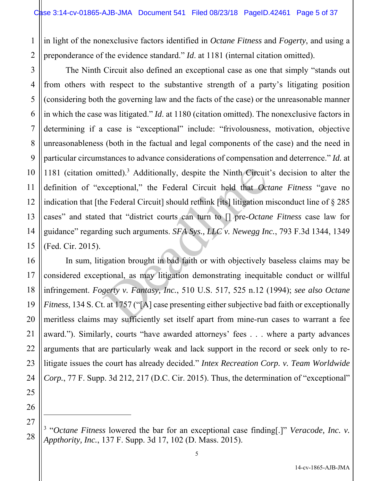1 2 in light of the nonexclusive factors identified in *Octane Fitness* and *Fogerty*, and using a preponderance of the evidence standard." *Id*. at 1181 (internal citation omitted).

3 4 5 6 7 8 9 10 11 12 13 14 15 The Ninth Circuit also defined an exceptional case as one that simply "stands out from others with respect to the substantive strength of a party's litigating position (considering both the governing law and the facts of the case) or the unreasonable manner in which the case was litigated." *Id*. at 1180 (citation omitted). The nonexclusive factors in determining if a case is "exceptional" include: "frivolousness, motivation, objective unreasonableness (both in the factual and legal components of the case) and the need in particular circumstances to advance considerations of compensation and deterrence." *Id.* at 1181 (citation omitted).<sup>3</sup> Additionally, despite the Ninth Circuit's decision to alter the definition of "exceptional," the Federal Circuit held that *Octane Fitness* "gave no indication that [the Federal Circuit] should rethink [its] litigation misconduct line of § 285 cases" and stated that "district courts can turn to [] pre-*Octane Fitness* case law for guidance" regarding such arguments. *SFA Sys., LLC v. Newegg Inc.*, 793 F.3d 1344, 1349 (Fed. Cir. 2015). mitted).<sup>3</sup> Additionally, despite the Ninth Circuit<br>xceptional," the Federal Circuit held that *Oct*<br>ne Federal Circuit] should rethink [its] litigation n<br>d that "district courts can turn to [] pre-*Octan*<br>ing such argumen

 In sum, litigation brought in bad faith or with objectively baseless claims may be considered exceptional, as may litigation demonstrating inequitable conduct or willful infringement. *Fogerty v. Fantasy, Inc.*, 510 U.S. 517, 525 n.12 (1994); *see also Octane Fitness*, 134 S. Ct. at 1757 ("[A] case presenting either subjective bad faith or exceptionally meritless claims may sufficiently set itself apart from mine-run cases to warrant a fee award."). Similarly, courts "have awarded attorneys' fees . . . where a party advances arguments that are particularly weak and lack support in the record or seek only to relitigate issues the court has already decided." *Intex Recreation Corp. v. Team Worldwide Corp.*, 77 F. Supp. 3d 212, 217 (D.C. Cir. 2015). Thus, the determination of "exceptional"

16

17

18

19

20

21

22

23

<sup>&</sup>lt;sup>3</sup> "Octane Fitness lowered the bar for an exceptional case finding[.]" *Veracode, Inc. v. Appthority, Inc.*, 137 F. Supp. 3d 17, 102 (D. Mass. 2015).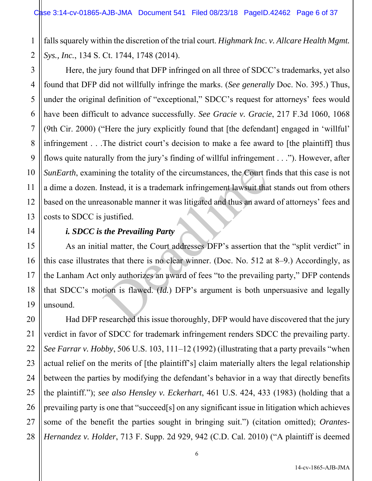1 2 falls squarely within the discretion of the trial court. *Highmark Inc. v. Allcare Health Mgmt. Sys., Inc.*, 134 S. Ct. 1744, 1748 (2014).

4 6 9 10 12 13 Here, the jury found that DFP infringed on all three of SDCC's trademarks, yet also found that DFP did not willfully infringe the marks. (*See generally* Doc. No. 395.) Thus, under the original definition of "exceptional," SDCC's request for attorneys' fees would have been difficult to advance successfully. *See Gracie v. Gracie*, 217 F.3d 1060, 1068 (9th Cir. 2000) ("Here the jury explicitly found that [the defendant] engaged in 'willful' infringement . . .The district court's decision to make a fee award to [the plaintiff] thus flows quite naturally from the jury's finding of willful infringement . . ."). However, after *SunEarth*, examining the totality of the circumstances, the Court finds that this case is not a dime a dozen. Instead, it is a trademark infringement lawsuit that stands out from others based on the unreasonable manner it was litigated and thus an award of attorneys' fees and costs to SDCC is justified.

3

5

7

8

11

14

15

16

17

18

19

21

22

# *i. SDCC is the Prevailing Party*

 As an initial matter, the Court addresses DFP's assertion that the "split verdict" in this case illustrates that there is no clear winner. (Doc. No. 512 at 8–9.) Accordingly, as the Lanham Act only authorizes an award of fees "to the prevailing party," DFP contends that SDCC's motion is flawed. (*Id.*) DFP's argument is both unpersuasive and legally unsound. ing the totality of the circumstances, the Court fields and this assonable manner it was litigated and thus an awar justified.<br> *the Prevailing Party*<br>
all matter, the Court addresses DFP's assertion these that there is no

20 23 24 25 26 27 28 Had DFP researched this issue thoroughly, DFP would have discovered that the jury verdict in favor of SDCC for trademark infringement renders SDCC the prevailing party. *See Farrar v. Hobby*, 506 U.S. 103, 111–12 (1992) (illustrating that a party prevails "when actual relief on the merits of [the plaintiff's] claim materially alters the legal relationship between the parties by modifying the defendant's behavior in a way that directly benefits the plaintiff."); *see also Hensley v. Eckerhart*, 461 U.S. 424, 433 (1983) (holding that a prevailing party is one that "succeed[s] on any significant issue in litigation which achieves some of the benefit the parties sought in bringing suit.") (citation omitted); *Orantes-Hernandez v. Holder*, 713 F. Supp. 2d 929, 942 (C.D. Cal. 2010) ("A plaintiff is deemed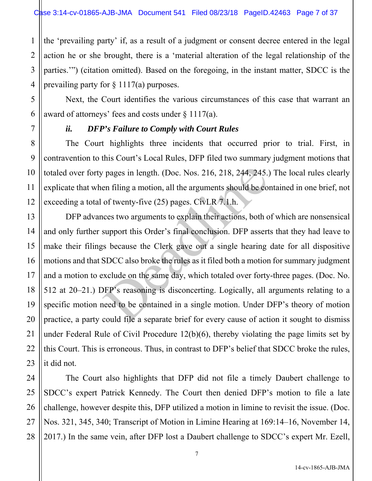1 the 'prevailing party' if, as a result of a judgment or consent decree entered in the legal action he or she brought, there is a 'material alteration of the legal relationship of the parties.'") (citation omitted). Based on the foregoing, in the instant matter, SDCC is the prevailing party for  $\S 1117(a)$  purposes.

 Next, the Court identifies the various circumstances of this case that warrant an award of attorneys' fees and costs under  $\S 1117(a)$ .

## *ii. DFP's Failure to Comply with Court Rules*

The Court highlights three incidents that occurred prior to trial. First, in contravention to this Court's Local Rules, DFP filed two summary judgment motions that totaled over forty pages in length. (Doc. Nos. 216, 218, 244, 245.) The local rules clearly explicate that when filing a motion, all the arguments should be contained in one brief, not exceeding a total of twenty-five (25) pages. CivLR 7.1.h.

 DFP advances two arguments to explain their actions, both of which are nonsensical and only further support this Order's final conclusion. DFP asserts that they had leave to make their filings because the Clerk gave out a single hearing date for all dispositive motions and that SDCC also broke the rules as it filed both a motion for summary judgment and a motion to exclude on the same day, which totaled over forty-three pages. (Doc. No. 512 at 20–21.) DFP's reasoning is disconcerting. Logically, all arguments relating to a specific motion need to be contained in a single motion. Under DFP's theory of motion practice, a party could file a separate brief for every cause of action it sought to dismiss under Federal Rule of Civil Procedure 12(b)(6), thereby violating the page limits set by this Court. This is erroneous. Thus, in contrast to DFP's belief that SDCC broke the rules, it did not. r pages in length. (Doc. Nos. 216, 218, 244, 245.)<br>en filing a motion, all the arguments should be con<br>of twenty-five (25) pages. CivLR 7.1.h.<br>ces two arguments to explain their actions, both o<br>support this Order's final c

 The Court also highlights that DFP did not file a timely Daubert challenge to SDCC's expert Patrick Kennedy. The Court then denied DFP's motion to file a late challenge, however despite this, DFP utilized a motion in limine to revisit the issue. (Doc. Nos. 321, 345, 340; Transcript of Motion in Limine Hearing at 169:14–16, November 14, 2017.) In the same vein, after DFP lost a Daubert challenge to SDCC's expert Mr. Ezell,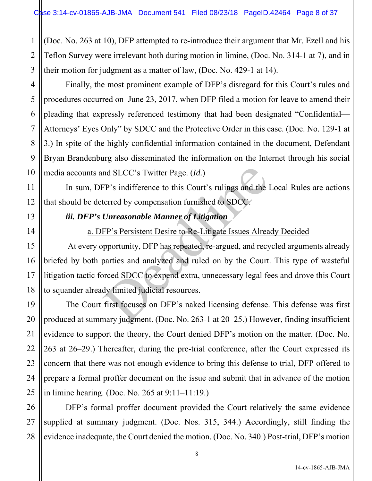3 (Doc. No. 263 at 10), DFP attempted to re-introduce their argument that Mr. Ezell and his Teflon Survey were irrelevant both during motion in limine, (Doc. No. 314-1 at 7), and in their motion for judgment as a matter of law, (Doc. No. 429-1 at 14).

 Finally, the most prominent example of DFP's disregard for this Court's rules and procedures occurred on June 23, 2017, when DFP filed a motion for leave to amend their pleading that expressly referenced testimony that had been designated "Confidential— Attorneys' Eyes Only" by SDCC and the Protective Order in this case. (Doc. No. 129-1 at 3.) In spite of the highly confidential information contained in the document, Defendant Bryan Brandenburg also disseminated the information on the Internet through his social media accounts and SLCC's Twitter Page. (*Id.*)

In sum, DFP's indifference to this Court's rulings and the Local Rules are actions that should be deterred by compensation furnished to SDCC.

# *iii. DFP's Unreasonable Manner of Litigation*

1

2

4

5

6

7

8

9

10

11

12

13

14

15

16

17

18

19

20

21

22

23

24

25

27

# a. DFP's Persistent Desire to Re-Litigate Issues Already Decided

 At every opportunity, DFP has repeated, re-argued, and recycled arguments already briefed by both parties and analyzed and ruled on by the Court. This type of wasteful litigation tactic forced SDCC to expend extra, unnecessary legal fees and drove this Court to squander already limited judicial resources. nd SLCC's Twitter Page. (*Id.*)<br>FP's indifference to this Court's rulings and the lerred by compensation furnished to SDCC.<br>Unreasonable Manner of Litigation<br>FP's Persistent Desire to Re-Litigate Issues Alrea<br>pportunity, D

 The Court first focuses on DFP's naked licensing defense. This defense was first produced at summary judgment. (Doc. No. 263-1 at 20–25.) However, finding insufficient evidence to support the theory, the Court denied DFP's motion on the matter. (Doc. No. 263 at 26–29.) Thereafter, during the pre-trial conference, after the Court expressed its concern that there was not enough evidence to bring this defense to trial, DFP offered to prepare a formal proffer document on the issue and submit that in advance of the motion in limine hearing. (Doc. No. 265 at 9:11–11:19.)

26 28 DFP's formal proffer document provided the Court relatively the same evidence supplied at summary judgment. (Doc. Nos. 315, 344.) Accordingly, still finding the evidence inadequate, the Court denied the motion. (Doc. No. 340.) Post-trial, DFP's motion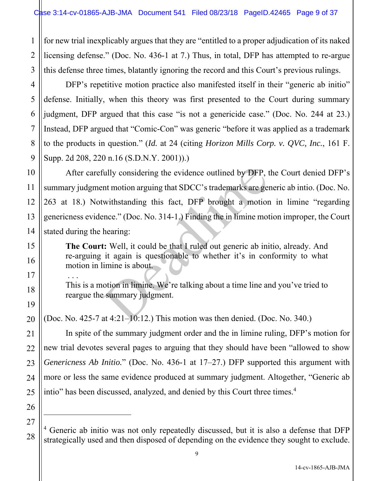1 2 3 for new trial inexplicably argues that they are "entitled to a proper adjudication of its naked licensing defense." (Doc. No. 436-1 at 7.) Thus, in total, DFP has attempted to re-argue this defense three times, blatantly ignoring the record and this Court's previous rulings.

DFP's repetitive motion practice also manifested itself in their "generic ab initio" defense. Initially, when this theory was first presented to the Court during summary judgment, DFP argued that this case "is not a genericide case." (Doc. No. 244 at 23.) Instead, DFP argued that "Comic-Con" was generic "before it was applied as a trademark to the products in question." (*Id.* at 24 (citing *Horizon Mills Corp. v. QVC, Inc.*, 161 F. Supp. 2d 208, 220 n.16 (S.D.N.Y. 2001)).)

14 After carefully considering the evidence outlined by DFP, the Court denied DFP's summary judgment motion arguing that SDCC's trademarks are generic ab intio. (Doc. No. 263 at 18.) Notwithstanding this fact, DFP brought a motion in limine "regarding genericness evidence." (Doc. No. 314-1.) Finding the in limine motion improper, the Court stated during the hearing: finally considering the evidence outlined by DFP, the motion arguing that SDCC's trademarks are general with standing this fact, DFP brought a motion rnce." (Doc. No. 314-1.) Finding the in limine mot hearing:<br>t: Well, it

**The Court:** Well, it could be that I ruled out generic ab initio, already. And re-arguing it again is questionable to whether it's in conformity to what motion in limine is about.

 . . . This is a motion in limine. We're talking about a time line and you've tried to reargue the summary judgment.

(Doc. No. 425-7 at 4:21–10:12.) This motion was then denied. (Doc. No. 340.)

 In spite of the summary judgment order and the in limine ruling, DFP's motion for new trial devotes several pages to arguing that they should have been "allowed to show *Genericness Ab Initio.*" (Doc. No. 436-1 at 17–27.) DFP supported this argument with more or less the same evidence produced at summary judgment. Altogether, "Generic ab intio" has been discussed, analyzed, and denied by this Court three times.<sup>4</sup>

26 27

28

4

5

6

7

8

9

10

11

12

13

15

16

17

18

19

20

21

22

23

24

<sup>&</sup>lt;sup>4</sup> Generic ab initio was not only repeatedly discussed, but it is also a defense that DFP strategically used and then disposed of depending on the evidence they sought to exclude.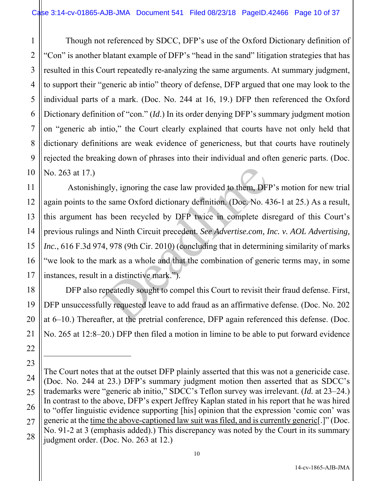1 2 3 4 5 6 7 8 9 10 Though not referenced by SDCC, DFP's use of the Oxford Dictionary definition of "Con" is another blatant example of DFP's "head in the sand" litigation strategies that has resulted in this Court repeatedly re-analyzing the same arguments. At summary judgment, to support their "generic ab intio" theory of defense, DFP argued that one may look to the individual parts of a mark. (Doc. No. 244 at 16, 19.) DFP then referenced the Oxford Dictionary definition of "con." (*Id*.) In its order denying DFP's summary judgment motion on "generic ab intio," the Court clearly explained that courts have not only held that dictionary definitions are weak evidence of genericness, but that courts have routinely rejected the breaking down of phrases into their individual and often generic parts. (Doc. No. 263 at 17.)

 Astonishingly, ignoring the case law provided to them, DFP's motion for new trial again points to the same Oxford dictionary definition. (Doc. No. 436-1 at 25.) As a result, this argument has been recycled by DFP twice in complete disregard of this Court's previous rulings and Ninth Circuit precedent. *See Advertise.com, Inc. v. AOL Advertising, Inc.*, 616 F.3d 974, 978 (9th Cir. 2010) (concluding that in determining similarity of marks "we look to the mark as a whole and that the combination of generic terms may, in some instances, result in a distinctive mark."). ngly, ignoring the case law provided to them, DFI<br>e same Oxford dictionary definition. (Doc. No. 4<br>as been recycled by DFP twice in complete dis<br>and Ninth Circuit precedent. *See Advertise.com*, *I*<br>4, 978 (9th Cir. 2010)

11

12

13

14

15

16

17

18

19

20

21

22

23

27

 DFP also repeatedly sought to compel this Court to revisit their fraud defense. First, DFP unsuccessfully requested leave to add fraud as an affirmative defense. (Doc. No. 202 at 6–10.) Thereafter, at the pretrial conference, DFP again referenced this defense. (Doc. No. 265 at 12:8–20.) DFP then filed a motion in limine to be able to put forward evidence

<sup>24</sup> 25 26 28 The Court notes that at the outset DFP plainly asserted that this was not a genericide case. (Doc. No. 244 at 23.) DFP's summary judgment motion then asserted that as SDCC's trademarks were "generic ab initio," SDCC's Teflon survey was irrelevant. (*Id.* at 23–24.) In contrast to the above, DFP's expert Jeffrey Kaplan stated in his report that he was hired to "offer linguistic evidence supporting [his] opinion that the expression 'comic con' was generic at the time the above-captioned law suit was filed, and is currently generic[.]" (Doc. No. 91-2 at 3 (emphasis added).) This discrepancy was noted by the Court in its summary judgment order. (Doc. No. 263 at 12.)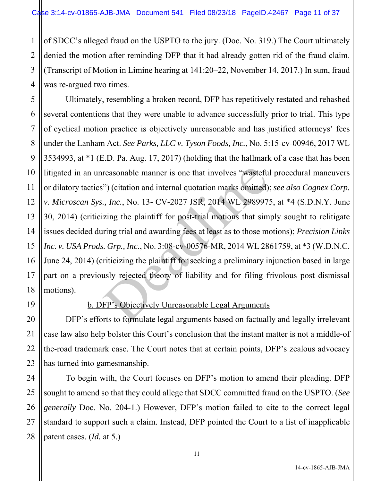1 2 3 4 of SDCC's alleged fraud on the USPTO to the jury. (Doc. No. 319.) The Court ultimately denied the motion after reminding DFP that it had already gotten rid of the fraud claim. (Transcript of Motion in Limine hearing at 141:20–22, November 14, 2017.) In sum, fraud was re-argued two times.

5 6 7 8 9 10 11 12 13 14 15 16 17 18 Ultimately, resembling a broken record, DFP has repetitively restated and rehashed several contentions that they were unable to advance successfully prior to trial. This type of cyclical motion practice is objectively unreasonable and has justified attorneys' fees under the Lanham Act. *See Parks, LLC v. Tyson Foods, Inc.*, No. 5:15-cv-00946, 2017 WL 3534993, at \*1 (E.D. Pa. Aug. 17, 2017) (holding that the hallmark of a case that has been litigated in an unreasonable manner is one that involves "wasteful procedural maneuvers or dilatory tactics") (citation and internal quotation marks omitted); *see also Cognex Corp. v. Microscan Sys., Inc.*, No. 13- CV-2027 JSR, 2014 WL 2989975, at \*4 (S.D.N.Y. June 30, 2014) (criticizing the plaintiff for post-trial motions that simply sought to relitigate issues decided during trial and awarding fees at least as to those motions); *Precision Links Inc. v. USA Prods. Grp., Inc.*, No. 3:08-cv-00576-MR, 2014 WL 2861759, at \*3 (W.D.N.C. June 24, 2014) (criticizing the plaintiff for seeking a preliminary injunction based in large part on a previously rejected theory of liability and for filing frivolous post dismissal motions). reasonable manner is one that involves "wastefu") (citation and internal quotation marks omitted)<br>
.., *Inc.*, No. 13- CV-2027 JSR, 2014 WL 298997.<br>
zing the plaintiff for post-trial motions that sim<br>
ring trial and awardi

19

20

21

22

23

24

27

# b. DFP's Objectively Unreasonable Legal Arguments

DFP's efforts to formulate legal arguments based on factually and legally irrelevant case law also help bolster this Court's conclusion that the instant matter is not a middle-of the-road trademark case. The Court notes that at certain points, DFP's zealous advocacy has turned into gamesmanship.

25 26 28 To begin with, the Court focuses on DFP's motion to amend their pleading. DFP sought to amend so that they could allege that SDCC committed fraud on the USPTO. (*See generally* Doc. No. 204-1.) However, DFP's motion failed to cite to the correct legal standard to support such a claim. Instead, DFP pointed the Court to a list of inapplicable patent cases. (*Id.* at 5.)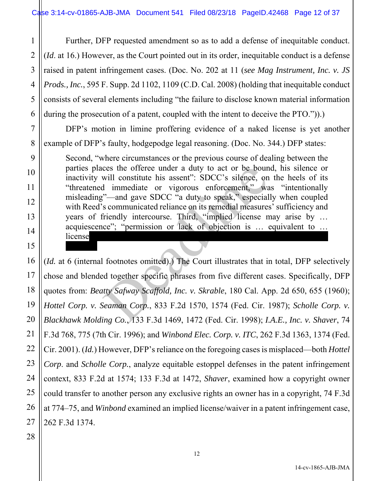1 2 3 4 5 6 Further, DFP requested amendment so as to add a defense of inequitable conduct. (*Id*. at 16.) However, as the Court pointed out in its order, inequitable conduct is a defense raised in patent infringement cases. (Doc. No. 202 at 11 (*see Mag Instrument, Inc. v. JS Prods., Inc.*, 595 F. Supp. 2d 1102, 1109 (C.D. Cal. 2008) (holding that inequitable conduct consists of several elements including "the failure to disclose known material information during the prosecution of a patent, coupled with the intent to deceive the PTO.")).

 DFP's motion in limine proffering evidence of a naked license is yet another example of DFP's faulty, hodgepodge legal reasoning. (Doc. No. 344.) DFP states:

Second, "where circumstances or the previous course of dealing between the parties places the offeree under a duty to act or be bound, his silence or inactivity will constitute his assent": SDCC's silence, on the heels of its "threatened immediate or vigorous enforcement," was "intentionally misleading"—and gave SDCC "a duty to speak," especially when coupled with Reed's communicated reliance on its remedial measures' sufficiency and years of friendly intercourse. Third, "implied license may arise by … acquiescence"; "permission or lack of objection is … equivalent to … license"; thus SDCCC's longstanding to SDCC's longitude of Reed's use is enough to show that the SDCCC's enough to show that the show that the SDCCC's use is enough to show that the show that the show that the show that th ces the offeree under a duty to act or be boun<br>will constitute his assent": SDCC's silence, on<br>1 immediate or vigorous enforcement," wa<br>"---and gave SDCC "a duty to speak," especial<br>5 communicated reliance on its remedial

16 17 18 19 20 21 22 23 24 25 (*Id.* at 6 (internal footnotes omitted).) The Court illustrates that in total, DFP selectively chose and blended together specific phrases from five different cases. Specifically, DFP quotes from: *Beatty Safway Scaffold, Inc. v. Skrable*, 180 Cal. App. 2d 650, 655 (1960); *Hottel Corp. v. Seaman Corp.*, 833 F.2d 1570, 1574 (Fed. Cir. 1987); *Scholle Corp. v. Blackhawk Molding Co.*, 133 F.3d 1469, 1472 (Fed. Cir. 1998); *I.A.E., Inc. v. Shaver*, 74 F.3d 768, 775 (7th Cir. 1996); and *Winbond Elec. Corp. v. ITC*, 262 F.3d 1363, 1374 (Fed. Cir. 2001). (*Id.*) However, DFP's reliance on the foregoing cases is misplaced—both *Hottel Corp*. and *Scholle Corp.*, analyze equitable estoppel defenses in the patent infringement context, 833 F.2d at 1574; 133 F.3d at 1472, *Shaver*, examined how a copyright owner could transfer to another person any exclusive rights an owner has in a copyright, 74 F.3d at 774–75, and *Winbond* examined an implied license/waiver in a patent infringement case, 262 F.3d 1374.

7

8

9

10

11

12

13

14

15

a license.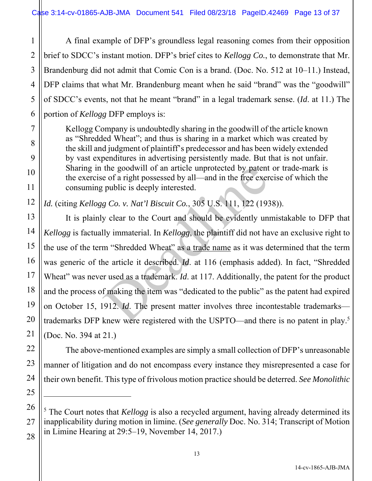1 A final example of DFP's groundless legal reasoning comes from their opposition brief to SDCC's instant motion. DFP's brief cites to *Kellogg Co.*, to demonstrate that Mr. Brandenburg did not admit that Comic Con is a brand. (Doc. No. 512 at 10–11.) Instead, DFP claims that what Mr. Brandenburg meant when he said "brand" was the "goodwill" of SDCC's events, not that he meant "brand" in a legal trademark sense. (*Id*. at 11.) The portion of *Kellogg* DFP employs is:

Kellogg Company is undoubtedly sharing in the goodwill of the article known as "Shredded Wheat"; and thus is sharing in a market which was created by the skill and judgment of plaintiff's predecessor and has been widely extended by vast expenditures in advertising persistently made. But that is not unfair. Sharing in the goodwill of an article unprotected by patent or trade-mark is the exercise of a right possessed by all—and in the free exercise of which the consuming public is deeply interested.

*Id.* (citing *Kellogg Co. v. Nat'l Biscuit Co.*, 305 U.S. 111, 122 (1938)).

 It is plainly clear to the Court and should be evidently unmistakable to DFP that *Kellogg* is factually immaterial. In *Kellogg*, the plaintiff did not have an exclusive right to the use of the term "Shredded Wheat" as a trade name as it was determined that the term was generic of the article it described. *Id*. at 116 (emphasis added). In fact, "Shredded Wheat" was never used as a trademark. *Id.* at 117. Additionally, the patent for the product and the process of making the item was "dedicated to the public" as the patent had expired on October 15, 1912. *Id*. The present matter involves three incontestable trademarks trademarks DFP knew were registered with the USPTO—and there is no patent in play.5 (Doc. No. 394 at 21.) the goodwill of an article unprotected by patent<br>e of a right possessed by all—and in the free exer<br>public is deeply interested.<br>g Co. v. Nat'l Biscuit Co., 305 U.S. 111, 122 (193<br>y clear to the Court and should be eviden

 The above-mentioned examples are simply a small collection of DFP's unreasonable manner of litigation and do not encompass every instance they misrepresented a case for their own benefit. This type of frivolous motion practice should be deterred. *See Monolithic* 

<sup>&</sup>lt;sup>5</sup> The Court notes that *Kellogg* is also a recycled argument, having already determined its inapplicability during motion in limine. (*See generally* Doc. No. 314; Transcript of Motion in Limine Hearing at 29:5–19, November 14, 2017.)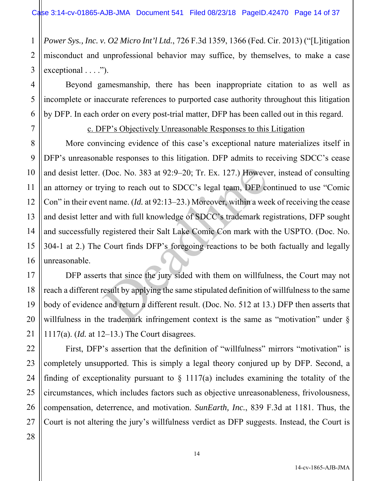1 2 3 *Power Sys., Inc. v. O2 Micro Int'l Ltd.*, 726 F.3d 1359, 1366 (Fed. Cir. 2013) ("[L]itigation misconduct and unprofessional behavior may suffice, by themselves, to make a case exceptional  $\dots$ ").

 Beyond gamesmanship, there has been inappropriate citation to as well as incomplete or inaccurate references to purported case authority throughout this litigation by DFP. In each order on every post-trial matter, DFP has been called out in this regard.

c. DFP's Objectively Unreasonable Responses to this Litigation

More convincing evidence of this case's exceptional nature materializes itself in DFP's unreasonable responses to this litigation. DFP admits to receiving SDCC's cease and desist letter. (Doc. No. 383 at 92:9–20; Tr. Ex. 127.) However, instead of consulting an attorney or trying to reach out to SDCC's legal team, DFP continued to use "Comic Con" in their event name. (*Id.* at 92:13–23.) Moreover, within a week of receiving the cease and desist letter and with full knowledge of SDCC's trademark registrations, DFP sought and successfully registered their Salt Lake Comic Con mark with the USPTO. (Doc. No. 304-1 at 2.) The Court finds DFP's foregoing reactions to be both factually and legally unreasonable. (Doc. No. 383 at 92:9–20; Tr. Ex. 127.) However<br>ving to reach out to SDCC's legal team, DFP contrane. (*Id.* at 92:13–23.) Moreover, within a wee<br>and with full knowledge of SDCC's trademark re<br>registered their Salt Lake C

 DFP asserts that since the jury sided with them on willfulness, the Court may not reach a different result by applying the same stipulated definition of willfulness to the same body of evidence and return a different result. (Doc. No. 512 at 13.) DFP then asserts that willfulness in the trademark infringement context is the same as "motivation" under § 1117(a). (*Id.* at 12–13.) The Court disagrees.

 First, DFP's assertion that the definition of "willfulness" mirrors "motivation" is completely unsupported. This is simply a legal theory conjured up by DFP. Second, a finding of exceptionality pursuant to  $\S$  1117(a) includes examining the totality of the circumstances, which includes factors such as objective unreasonableness, frivolousness, compensation, deterrence, and motivation. *SunEarth, Inc.*, 839 F.3d at 1181. Thus, the Court is not altering the jury's willfulness verdict as DFP suggests. Instead, the Court is

4

5

6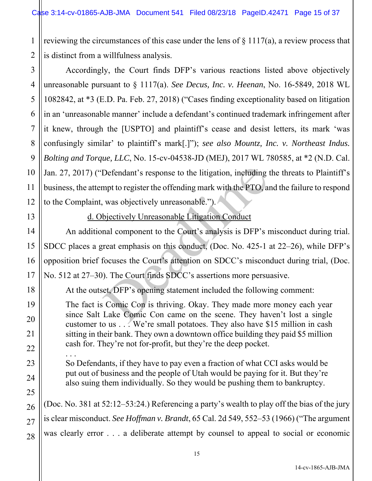1 2 reviewing the circumstances of this case under the lens of  $\S 1117(a)$ , a review process that is distinct from a willfulness analysis.

4 6 10 12 Accordingly, the Court finds DFP's various reactions listed above objectively unreasonable pursuant to § 1117(a). *See Decus, Inc. v. Heenan*, No. 16-5849, 2018 WL 1082842, at \*3 (E.D. Pa. Feb. 27, 2018) ("Cases finding exceptionality based on litigation in an 'unreasonable manner' include a defendant's continued trademark infringement after it knew, through the [USPTO] and plaintiff's cease and desist letters, its mark 'was confusingly similar' to plaintiff's mark[.]"); *see also Mountz, Inc. v. Northeast Indus. Bolting and Torque, LLC*, No. 15-cv-04538-JD (MEJ), 2017 WL 780585, at \*2 (N.D. Cal. Jan. 27, 2017) ("Defendant's response to the litigation, including the threats to Plaintiff's business, the attempt to register the offending mark with the PTO, and the failure to respond to the Complaint, was objectively unreasonable.").

13

14

15

16

17

18

19

20

21

22

23

24

25

26

27

28

3

5

7

8

9

11

d. Objectively Unreasonable Litigation Conduct

An additional component to the Court's analysis is DFP's misconduct during trial. SDCC places a great emphasis on this conduct, (Doc. No. 425-1 at 22–26), while DFP's opposition brief focuses the Court's attention on SDCC's misconduct during trial, (Doc. No. 512 at 27–30). The Court finds SDCC's assertions more persuasive. Defendant's response to the litigation, including<br>mpt to register the offending mark with the PTO, and<br>was objectively unreasonable.").<br>bjectively Unreasonable Litigation Conduct<br>mal component to the Court's analysis is DF

At the outset, DFP's opening statement included the following comment:

The fact is Comic Con is thriving. Okay. They made more money each year since Salt Lake Comic Con came on the scene. They haven't lost a single customer to us . . . We're small potatoes. They also have \$15 million in cash sitting in their bank. They own a downtown office building they paid \$5 million cash for. They're not for-profit, but they're the deep pocket.

. . . So Defendants, if they have to pay even a fraction of what CCI asks would be put out of business and the people of Utah would be paying for it. But they're also suing them individually. So they would be pushing them to bankruptcy.

(Doc. No. 381 at 52:12–53:24.) Referencing a party's wealth to play off the bias of the jury is clear misconduct. *See Hoffman v. Brandt*, 65 Cal. 2d 549, 552–53 (1966) ("The argument was clearly error . . . a deliberate attempt by counsel to appeal to social or economic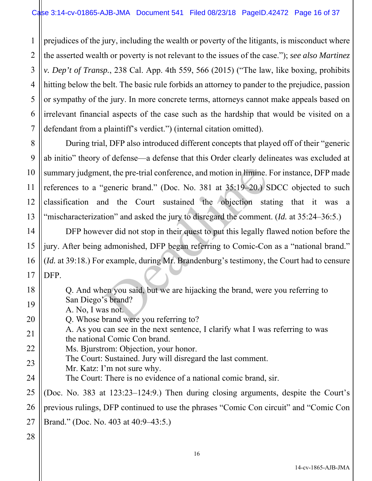1 2 3 4 5 6 7 prejudices of the jury, including the wealth or poverty of the litigants, is misconduct where the asserted wealth or poverty is not relevant to the issues of the case."); *see also Martinez v. Dep't of Transp.*, 238 Cal. App. 4th 559, 566 (2015) ("The law, like boxing, prohibits hitting below the belt. The basic rule forbids an attorney to pander to the prejudice, passion or sympathy of the jury. In more concrete terms, attorneys cannot make appeals based on irrelevant financial aspects of the case such as the hardship that would be visited on a defendant from a plaintiff's verdict.") (internal citation omitted).

8 9 10 11 12 13 During trial, DFP also introduced different concepts that played off of their "generic ab initio" theory of defense—a defense that this Order clearly delineates was excluded at summary judgment, the pre-trial conference, and motion in limine. For instance, DFP made references to a "generic brand." (Doc. No. 381 at 35:19–20.) SDCC objected to such classification and the Court sustained the objection stating that it was a "mischaracterization" and asked the jury to disregard the comment. (*Id.* at 35:24–36:5.) nt, the pre-trial conference, and motion in limine.<br>
"generic brand." (Doc. No. 381 at 35:19–20.) S<br>
and the Court sustained the objection station" and asked the jury to disregard the comment<br>
ver did not stop in their que

 DFP however did not stop in their quest to put this legally flawed notion before the jury. After being admonished, DFP began referring to Comic-Con as a "national brand." (*Id.* at 39:18.) For example, during Mr. Brandenburg's testimony, the Court had to censure DFP.

Q. And when you said, but we are hijacking the brand, were you referring to San Diego's brand?

20 A. No, I was not.

Q. Whose brand were you referring to?

21 A. As you can see in the next sentence, I clarify what I was referring to was the national Comic Con brand.

22 Ms. Bjurstrom: Objection, your honor.

The Court: Sustained. Jury will disregard the last comment.

- 23 Mr. Katz: I'm not sure why.
- 24 The Court: There is no evidence of a national comic brand, sir.

25 26 27 (Doc. No. 383 at 123:23–124:9.) Then during closing arguments, despite the Court's previous rulings, DFP continued to use the phrases "Comic Con circuit" and "Comic Con Brand." (Doc. No. 403 at 40:9–43:5.)

28

14

15

16

17

18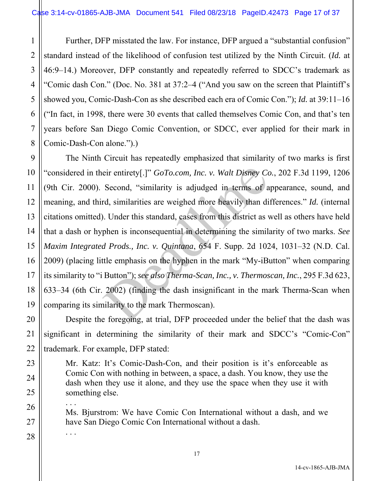1 3 4 5 6 8 Further, DFP misstated the law. For instance, DFP argued a "substantial confusion" standard instead of the likelihood of confusion test utilized by the Ninth Circuit. (*Id.* at 46:9–14.) Moreover, DFP constantly and repeatedly referred to SDCC's trademark as "Comic dash Con." (Doc. No. 381 at 37:2–4 ("And you saw on the screen that Plaintiff's showed you, Comic-Dash-Con as she described each era of Comic Con."); *Id.* at 39:11–16 ("In fact, in 1998, there were 30 events that called themselves Comic Con, and that's ten years before San Diego Comic Convention, or SDCC, ever applied for their mark in Comic-Dash-Con alone.").)

9 10 11 12 13 14 15 16 17 18 19 The Ninth Circuit has repeatedly emphasized that similarity of two marks is first "considered in their entirety[.]" *GoTo.com, Inc. v. Walt Disney Co.*, 202 F.3d 1199, 1206 (9th Cir. 2000). Second, "similarity is adjudged in terms of appearance, sound, and meaning, and third, similarities are weighed more heavily than differences." *Id.* (internal citations omitted). Under this standard, cases from this district as well as others have held that a dash or hyphen is inconsequential in determining the similarity of two marks. *See Maxim Integrated Prods., Inc. v. Quintana*, 654 F. Supp. 2d 1024, 1031–32 (N.D. Cal. 2009) (placing little emphasis on the hyphen in the mark "My-iButton" when comparing its similarity to "i Button"); *see also Therma-Scan, Inc., v. Thermoscan, Inc.*, 295 F.3d 623, 633–34 (6th Cir. 2002) (finding the dash insignificant in the mark Therma-Scan when comparing its similarity to the mark Thermoscan). eir entirety[.]" *GoTo.com, Inc. v. Walt Disney Co*<br>Second, "similarity is adjudged in terms of a<br>rd, similarities are weighed more heavily than di<br>*d.* Under this standard, cases from this district as y<br>phen is inconseque

 Despite the foregoing, at trial, DFP proceeded under the belief that the dash was significant in determining the similarity of their mark and SDCC's "Comic-Con" trademark. For example, DFP stated:

Mr. Katz: It's Comic-Dash-Con, and their position is it's enforceable as Comic Con with nothing in between, a space, a dash. You know, they use the dash when they use it alone, and they use the space when they use it with something else.

. . . Ms. Bjurstrom: We have Comic Con International without a dash, and we have San Diego Comic Con International without a dash.

. . .

20

21

22

23

24

25

26

27

28

2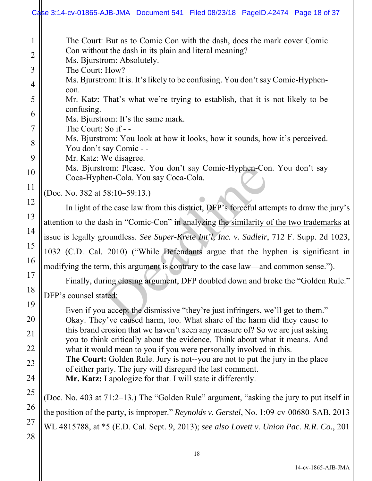|                | Case 3:14-cv-01865-AJB-JMA Document 541 Filed 08/23/18 PageID.42474 Page 18 of 37                                                                         |
|----------------|-----------------------------------------------------------------------------------------------------------------------------------------------------------|
| $\mathbf{1}$   | The Court: But as to Comic Con with the dash, does the mark cover Comic                                                                                   |
| $\overline{2}$ | Con without the dash in its plain and literal meaning?<br>Ms. Bjurstrom: Absolutely.                                                                      |
| 3              | The Court: How?                                                                                                                                           |
| 4              | Ms. Bjurstrom: It is. It's likely to be confusing. You don't say Comic-Hyphen-<br>con.                                                                    |
| 5              | Mr. Katz: That's what we're trying to establish, that it is not likely to be                                                                              |
| 6              | confusing.<br>Ms. Bjurstrom: It's the same mark.                                                                                                          |
| 7              | The Court: So if - -                                                                                                                                      |
| 8              | Ms. Bjurstrom: You look at how it looks, how it sounds, how it's perceived.<br>You don't say Comic - -                                                    |
| 9              | Mr. Katz: We disagree.                                                                                                                                    |
| 10             | Ms. Bjurstrom: Please. You don't say Comic-Hyphen-Con. You don't say<br>Coca-Hyphen-Cola. You say Coca-Cola.                                              |
| 11             | (Doc. No. 382 at 58:10–59:13.)                                                                                                                            |
| 12             | In light of the case law from this district, DFP's forceful attempts to draw the jury's                                                                   |
| 13             | attention to the dash in "Comic-Con" in analyzing the similarity of the two trademarks at                                                                 |
| 14             | issue is legally groundless. See Super-Krete Int'l, Inc. v. Sadleir, 712 F. Supp. 2d 1023,                                                                |
| 15             | 1032 (C.D. Cal. 2010) ("While Defendants argue that the hyphen is significant in                                                                          |
| 16             | modifying the term, this argument is contrary to the case law—and common sense.").                                                                        |
| 17             | Finally, during closing argument, DFP doubled down and broke the "Golden Rule."                                                                           |
| 18             | DFP's counsel stated:                                                                                                                                     |
| 19             | Even if you accept the dismissive "they're just infringers, we'll get to them."                                                                           |
| 20             | Okay. They've caused harm, too. What share of the harm did they cause to<br>this brand erosion that we haven't seen any measure of? So we are just asking |
| 21             | you to think critically about the evidence. Think about what it means. And                                                                                |
| 22<br>23       | what it would mean to you if you were personally involved in this.<br>The Court: Golden Rule. Jury is not--you are not to put the jury in the place       |
| 24             | of either party. The jury will disregard the last comment.<br>Mr. Katz: I apologize for that. I will state it differently.                                |
| 25             |                                                                                                                                                           |
| 26             | (Doc. No. 403 at 71:2-13.) The "Golden Rule" argument, "asking the jury to put itself in                                                                  |
| 27             | the position of the party, is improper." Reynolds v. Gerstel, No. 1:09-cv-00680-SAB, 2013                                                                 |
| 28             | WL 4815788, at *5 (E.D. Cal. Sept. 9, 2013); see also Lovett v. Union Pac. R.R. Co., 201                                                                  |
|                |                                                                                                                                                           |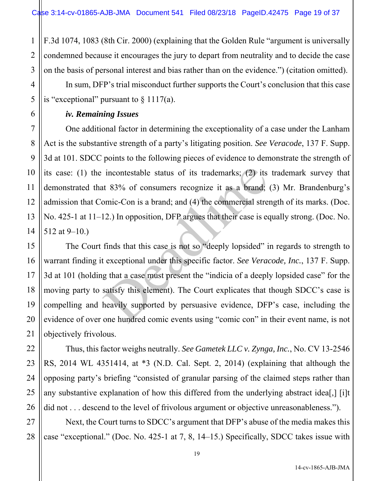1 2 3 F.3d 1074, 1083 (8th Cir. 2000) (explaining that the Golden Rule "argument is universally condemned because it encourages the jury to depart from neutrality and to decide the case on the basis of personal interest and bias rather than on the evidence.") (citation omitted).

In sum, DFP's trial misconduct further supports the Court's conclusion that this case is "exceptional" pursuant to  $\S 1117(a)$ .

#### *iv. Remaining Issues*

 One additional factor in determining the exceptionality of a case under the Lanham Act is the substantive strength of a party's litigating position. *See Veracode*, 137 F. Supp. 3d at 101. SDCC points to the following pieces of evidence to demonstrate the strength of its case: (1) the incontestable status of its trademarks; (2) its trademark survey that demonstrated that 83% of consumers recognize it as a brand; (3) Mr. Brandenburg's admission that Comic-Con is a brand; and (4) the commercial strength of its marks. (Doc. No. 425-1 at 11–12.) In opposition, DFP argues that their case is equally strong. (Doc. No. 512 at 9–10.)

 The Court finds that this case is not so "deeply lopsided" in regards to strength to warrant finding it exceptional under this specific factor. *See Veracode, Inc.*, 137 F. Supp. 3d at 101 (holding that a case must present the "indicia of a deeply lopsided case" for the moving party to satisfy this element). The Court explicates that though SDCC's case is compelling and heavily supported by persuasive evidence, DFP's case, including the evidence of over one hundred comic events using "comic con" in their event name, is not objectively frivolous. incontestable status of its trademarks; (2) its<br>tt 83% of consumers recognize it as a brand;<br>omic-Con is a brand; and (4) the commercial stres<br>12.) In opposition, DFP argues that their case is ec<br>finds that this case is no

 Thus, this factor weighs neutrally. *See Gametek LLC v. Zynga, Inc.*, No. CV 13-2546 RS, 2014 WL 4351414, at \*3 (N.D. Cal. Sept. 2, 2014) (explaining that although the opposing party's briefing "consisted of granular parsing of the claimed steps rather than any substantive explanation of how this differed from the underlying abstract idea[,] [i]t did not . . . descend to the level of frivolous argument or objective unreasonableness.").

 Next, the Court turns to SDCC's argument that DFP's abuse of the media makes this case "exceptional." (Doc. No. 425-1 at 7, 8, 14–15.) Specifically, SDCC takes issue with

19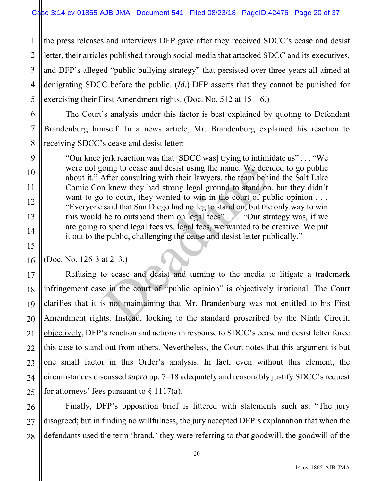1 2 3 the press releases and interviews DFP gave after they received SDCC's cease and desist letter, their articles published through social media that attacked SDCC and its executives, and DFP's alleged "public bullying strategy" that persisted over three years all aimed at denigrating SDCC before the public. (*Id.*) DFP asserts that they cannot be punished for exercising their First Amendment rights. (Doc. No. 512 at 15–16.)

 The Court's analysis under this factor is best explained by quoting to Defendant Brandenburg himself. In a news article, Mr. Brandenburg explained his reaction to receiving SDCC's cease and desist letter:

"Our knee jerk reaction was that [SDCC was] trying to intimidate us" . . . "We were not going to cease and desist using the name. We decided to go public about it." After consulting with their lawyers, the team behind the Salt Lake Comic Con knew they had strong legal ground to stand on, but they didn't want to go to court, they wanted to win in the court of public opinion ... "Everyone said that San Diego had no leg to stand on, but the only way to win this would be to outspend them on legal fees" . . . "Our strategy was, if we are going to spend legal fees vs. legal fees, we wanted to be creative. We put it out to the public, challenging the cease and desist letter publically." omg to cease and desist using the name. We dec<br>After consulting with their lawyers, the team beh<br>n knew they had strong legal ground to stand or<br>to court, they wanted to win in the court of pu<br>said that San Diego had no le

(Doc. No. 126-3 at 2–3.)

 Refusing to cease and desist and turning to the media to litigate a trademark infringement case in the court of "public opinion" is objectively irrational. The Court clarifies that it is not maintaining that Mr. Brandenburg was not entitled to his First Amendment rights. Instead, looking to the standard proscribed by the Ninth Circuit, objectively, DFP's reaction and actions in response to SDCC's cease and desist letter force this case to stand out from others. Nevertheless, the Court notes that this argument is but one small factor in this Order's analysis. In fact, even without this element, the circumstances discussed *supra* pp. 7–18 adequately and reasonably justify SDCC's request for attorneys' fees pursuant to  $\S 1117(a)$ .

 Finally, DFP's opposition brief is littered with statements such as: "The jury disagreed; but in finding no willfulness, the jury accepted DFP's explanation that when the defendants used the term 'brand,' they were referring to *that* goodwill, the goodwill of the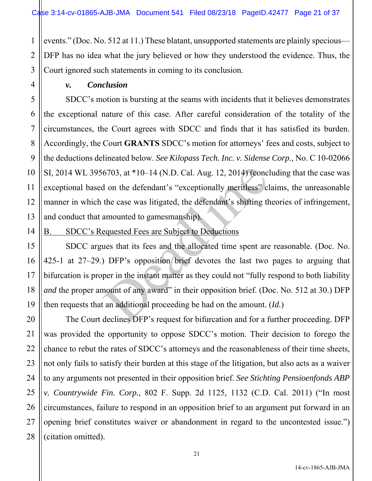1 2 3 events." (Doc. No. 512 at 11.) These blatant, unsupported statements are plainly specious— DFP has no idea what the jury believed or how they understood the evidence. Thus, the Court ignored such statements in coming to its conclusion.

 *v. Conclusion* 

4

5

6

7

8

9

10

11

12

13

15

16

17

18

19

20

21

22

23

24

25

26

27

28

SDCC's motion is bursting at the seams with incidents that it believes demonstrates the exceptional nature of this case. After careful consideration of the totality of the circumstances, the Court agrees with SDCC and finds that it has satisfied its burden. Accordingly, the Court **GRANTS** SDCC's motion for attorneys' fees and costs, subject to the deductions delineated below. *See Kilopass Tech. Inc. v. Sidense Corp.*, No. C 10-02066 SI, 2014 WL 3956703, at \*10–14 (N.D. Cal. Aug. 12, 2014) (concluding that the case was exceptional based on the defendant's "exceptionally meritless" claims, the unreasonable manner in which the case was litigated, the defendant's shifting theories of infringement, and conduct that amounted to gamesmanship).

14 B. SDCC's Requested Fees are Subject to Deductions

 SDCC argues that its fees and the allocated time spent are reasonable. (Doc. No. 425-1 at 27–29.) DFP's opposition brief devotes the last two pages to arguing that bifurcation is proper in the instant matter as they could not "fully respond to both liability *and* the proper amount of any award" in their opposition brief. (Doc. No. 512 at 30.) DFP then requests that an additional proceeding be had on the amount. (*Id.*) 6703, at \*10–14 (N.D. Cal. Aug. 12, 2014) (concidently on the defendant's "exceptionally meritless" club case was litigated, the defendant's shifting the case was litigated, the defendant's shifting the amounted to gamesm

 The Court declines DFP's request for bifurcation and for a further proceeding. DFP was provided the opportunity to oppose SDCC's motion. Their decision to forego the chance to rebut the rates of SDCC's attorneys and the reasonableness of their time sheets, not only fails to satisfy their burden at this stage of the litigation, but also acts as a waiver to any arguments not presented in their opposition brief. *See Stichting Pensioenfonds ABP v. Countrywide Fin. Corp.*, 802 F. Supp. 2d 1125, 1132 (C.D. Cal. 2011) ("In most circumstances, failure to respond in an opposition brief to an argument put forward in an opening brief constitutes waiver or abandonment in regard to the uncontested issue.") (citation omitted).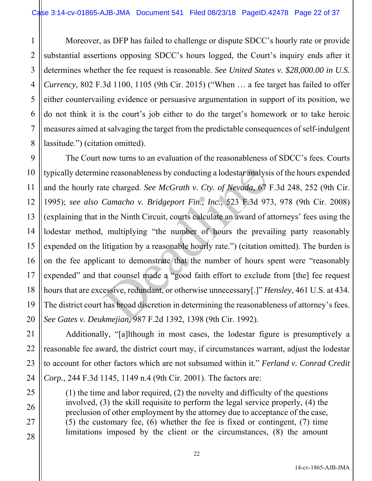1 2 3 4 5 6 7 8 Moreover, as DFP has failed to challenge or dispute SDCC's hourly rate or provide substantial assertions opposing SDCC's hours logged, the Court's inquiry ends after it determines whether the fee request is reasonable. *See United States v. \$28,000.00 in U.S. Currency*, 802 F.3d 1100, 1105 (9th Cir. 2015) ("When … a fee target has failed to offer either countervailing evidence or persuasive argumentation in support of its position, we do not think it is the court's job either to do the target's homework or to take heroic measures aimed at salvaging the target from the predictable consequences of self-indulgent lassitude.") (citation omitted).

9 10 12 13 14 15 16 17 18 19 20 The Court now turns to an evaluation of the reasonableness of SDCC's fees. Courts typically determine reasonableness by conducting a lodestar analysis of the hours expended and the hourly rate charged. *See McGrath v. Cty. of Nevada*, 67 F.3d 248, 252 (9th Cir. 1995); *see also Camacho v. Bridgeport Fin., Inc.*, 523 F.3d 973, 978 (9th Cir. 2008) (explaining that in the Ninth Circuit, courts calculate an award of attorneys' fees using the lodestar method, multiplying "the number of hours the prevailing party reasonably expended on the litigation by a reasonable hourly rate.") (citation omitted). The burden is on the fee applicant to demonstrate that the number of hours spent were "reasonably expended" and that counsel made a "good faith effort to exclude from [the] fee request hours that are excessive, redundant, or otherwise unnecessary[.]" *Hensley*, 461 U.S. at 434. The district court has broad discretion in determining the reasonableness of attorney's fees. *See Gates v. Deukmejian*, 987 F.2d 1392, 1398 (9th Cir. 1992). ne reasonableness by conducting a lodestar analysite charged. *See McGrath v. Cty. of Nevada*, 67 *Camacho v. Bridgeport Fin., Inc.*, 523 F.3d 97 *n* the Ninth Circuit, courts calculate an award of a multiplying "the numbe

11

21

22

23

24

25

26

27

28

 Additionally, "[a]lthough in most cases, the lodestar figure is presumptively a reasonable fee award, the district court may, if circumstances warrant, adjust the lodestar to account for other factors which are not subsumed within it." *Ferland v. Conrad Credit Corp.*, 244 F.3d 1145, 1149 n.4 (9th Cir. 2001). The factors are:

(1) the time and labor required, (2) the novelty and difficulty of the questions involved, (3) the skill requisite to perform the legal service properly, (4) the preclusion of other employment by the attorney due to acceptance of the case, (5) the customary fee, (6) whether the fee is fixed or contingent, (7) time limitations imposed by the client or the circumstances, (8) the amount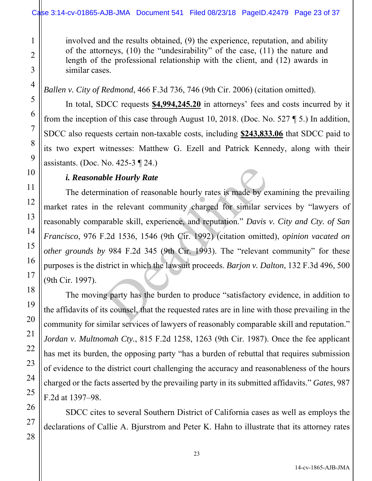involved and the results obtained, (9) the experience, reputation, and ability of the attorneys, (10) the "undesirability" of the case, (11) the nature and length of the professional relationship with the client, and (12) awards in similar cases.

# *Ballen v. City of Redmond*, 466 F.3d 736, 746 (9th Cir. 2006) (citation omitted).

 In total, SDCC requests **\$4,994,245.20** in attorneys' fees and costs incurred by it from the inception of this case through August 10, 2018. (Doc. No. 527 ¶ 5.) In addition, SDCC also requests certain non-taxable costs, including **\$243,833.06** that SDCC paid to its two expert witnesses: Matthew G. Ezell and Patrick Kennedy, along with their assistants. (Doc. No. 425-3 ¶ 24.)

## *i. Reasonable Hourly Rate*

 The determination of reasonable hourly rates is made by examining the prevailing market rates in the relevant community charged for similar services by "lawyers of reasonably comparable skill, experience, and reputation." *Davis v. City and Cty. of San Francisco*, 976 F.2d 1536, 1546 (9th Cir. 1992) (citation omitted), *opinion vacated on other grounds by* 984 F.2d 345 (9th Cir. 1993). The "relevant community" for these purposes is the district in which the lawsuit proceeds. *Barjon v. Dalton*, 132 F.3d 496, 500 (9th Cir. 1997). ble Hourly Rate<br>
ination of reasonable hourly rates is made by ex<br>
the relevant community charged for similar se<br>
arable skill, experience, and reputation." Davis<br>
3.2d 1536, 1546 (9th Cir. 1992) (citation omitte<br>
y 984 F

The moving party has the burden to produce "satisfactory evidence, in addition to the affidavits of its counsel, that the requested rates are in line with those prevailing in the community for similar services of lawyers of reasonably comparable skill and reputation." *Jordan v. Multnomah Cty.*, 815 F.2d 1258, 1263 (9th Cir. 1987). Once the fee applicant has met its burden, the opposing party "has a burden of rebuttal that requires submission of evidence to the district court challenging the accuracy and reasonableness of the hours charged or the facts asserted by the prevailing party in its submitted affidavits." *Gates*, 987 F.2d at 1397–98.

SDCC cites to several Southern District of California cases as well as employs the declarations of Callie A. Bjurstrom and Peter K. Hahn to illustrate that its attorney rates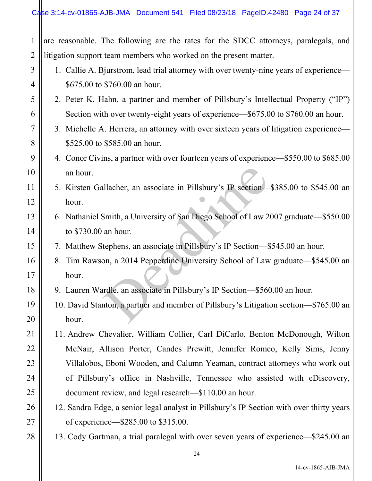| 1              | are reasonable. The following are the rates for the SDCC attorneys, paralegals, and      |
|----------------|------------------------------------------------------------------------------------------|
| $\overline{2}$ | litigation support team members who worked on the present matter.                        |
| 3              | 1. Callie A. Bjurstrom, lead trial attorney with over twenty-nine years of experience—   |
| $\overline{4}$ | \$675.00 to \$760.00 an hour.                                                            |
| 5              | 2. Peter K. Hahn, a partner and member of Pillsbury's Intellectual Property ("IP")       |
| 6              | Section with over twenty-eight years of experience—\$675.00 to \$760.00 an hour.         |
| 7              | 3. Michelle A. Herrera, an attorney with over sixteen years of litigation experience—    |
| 8              | \$525.00 to \$585.00 an hour.                                                            |
| 9              | 4. Conor Civins, a partner with over fourteen years of experience—\$550.00 to \$685.00   |
| 10             | an hour.                                                                                 |
| 11             | 5. Kirsten Gallacher, an associate in Pillsbury's IP section-\$385.00 to \$545.00 an     |
| 12             | hour.                                                                                    |
| 13             | 6. Nathaniel Smith, a University of San Diego School of Law 2007 graduate-\$550.00       |
| 14             | to \$730.00 an hour.                                                                     |
| 15             | 7. Matthew Stephens, an associate in Pillsbury's IP Section-\$545.00 an hour.            |
| 16             | 8. Tim Rawson, a 2014 Pepperdine University School of Law graduate—\$545.00 an           |
| 17             | hour.                                                                                    |
| 18             | 9. Lauren Wardle, an associate in Pillsbury's IP Section-\$560.00 an hour.               |
| 19             | 10. David Stanton, a partner and member of Pillsbury's Litigation section—\$765.00 an    |
| 20             | hour.                                                                                    |
| 21             | 11. Andrew Chevalier, William Collier, Carl DiCarlo, Benton McDonough, Wilton            |
| 22             | McNair, Allison Porter, Candes Prewitt, Jennifer Romeo, Kelly Sims, Jenny                |
| 23             | Villalobos, Eboni Wooden, and Calumn Yeaman, contract attorneys who work out             |
| 24             | of Pillsbury's office in Nashville, Tennessee who assisted with eDiscovery,              |
| 25             | document review, and legal research—\$110.00 an hour.                                    |
| 26             | 12. Sandra Edge, a senior legal analyst in Pillsbury's IP Section with over thirty years |
| 27             | of experience—\$285.00 to \$315.00.                                                      |
| 28             | 13. Cody Gartman, a trial paralegal with over seven years of experience—\$245.00 an      |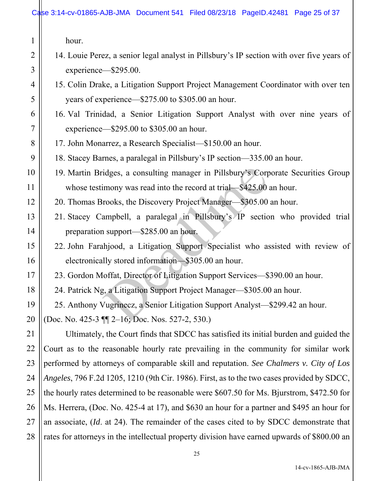1

2

3

4

5

6

7

8

9

10

11

12

13

14

15

16

17

18

19

20

21

22

23

24

25

26

27

28

- 14. Louie Perez, a senior legal analyst in Pillsbury's IP section with over five years of experience—\$295.00.
- 15. Colin Drake, a Litigation Support Project Management Coordinator with over ten years of experience—\$275.00 to \$305.00 an hour.
- 16. Val Trinidad, a Senior Litigation Support Analyst with over nine years of experience—\$295.00 to \$305.00 an hour.
- 17. John Monarrez, a Research Specialist—\$150.00 an hour.
- 18. Stacey Barnes, a paralegal in Pillsbury's IP section—335.00 an hour.
- 19. Martin Bridges, a consulting manager in Pillsbury's Corporate Securities Group whose testimony was read into the record at trial—\$425.00 an hour.
- 20. Thomas Brooks, the Discovery Project Manager—\$305.00 an hour.
- 21. Stacey Campbell, a paralegal in Pillsbury's IP section who provided trial preparation support—\$285.00 an hour.
- 22. John Farahjood, a Litigation Support Specialist who assisted with review of electronically stored information—\$305.00 an hour. idges, a consulting manager in Pillsbury's Corp<br>imony was read into the record at trial—\$425.00<br>rooks, the Discovery Project Manager—\$305.00<br>ampbell, a paralegal in Pillsbury's IP sectio<br>1 support—\$285.00 an hour.<br>hljood,
	- 23. Gordon Moffat, Director of Litigation Support Services—\$390.00 an hour.
- 24. Patrick Ng, a Litigation Support Project Manager—\$305.00 an hour.

25. Anthony Vugrinecz, a Senior Litigation Support Analyst—\$299.42 an hour.

(Doc. No. 425-3 ¶¶ 2–16; Doc. Nos. 527-2, 530.)

 Ultimately, the Court finds that SDCC has satisfied its initial burden and guided the Court as to the reasonable hourly rate prevailing in the community for similar work performed by attorneys of comparable skill and reputation. *See Chalmers v. City of Los Angeles*, 796 F.2d 1205, 1210 (9th Cir. 1986). First, as to the two cases provided by SDCC, the hourly rates determined to be reasonable were \$607.50 for Ms. Bjurstrom, \$472.50 for Ms. Herrera, (Doc. No. 425-4 at 17), and \$630 an hour for a partner and \$495 an hour for an associate, (*Id*. at 24). The remainder of the cases cited to by SDCC demonstrate that rates for attorneys in the intellectual property division have earned upwards of \$800.00 an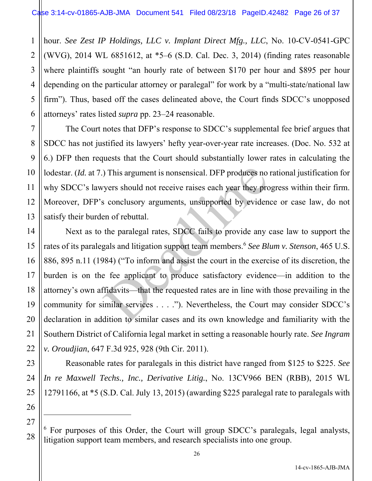1 2 3 hour. *See Zest IP Holdings, LLC v. Implant Direct Mfg., LLC*, No. 10-CV-0541-GPC (WVG), 2014 WL 6851612, at \*5–6 (S.D. Cal. Dec. 3, 2014) (finding rates reasonable where plaintiffs sought "an hourly rate of between \$170 per hour and \$895 per hour depending on the particular attorney or paralegal" for work by a "multi-state/national law firm"). Thus, based off the cases delineated above, the Court finds SDCC's unopposed attorneys' rates listed *supra* pp. 23–24 reasonable.

 The Court notes that DFP's response to SDCC's supplemental fee brief argues that SDCC has not justified its lawyers' hefty year-over-year rate increases. (Doc. No. 532 at 6.) DFP then requests that the Court should substantially lower rates in calculating the lodestar. *(Id.* at 7.) This argument is nonsensical. DFP produces no rational justification for why SDCC's lawyers should not receive raises each year they progress within their firm. Moreover, DFP's conclusory arguments, unsupported by evidence or case law, do not satisfy their burden of rebuttal.

 Next as to the paralegal rates, SDCC fails to provide any case law to support the rates of its paralegals and litigation support team members.<sup>6</sup> *See Blum v. Stenson*, 465 U.S. 886, 895 n.11 (1984) ("To inform and assist the court in the exercise of its discretion, the burden is on the fee applicant to produce satisfactory evidence—in addition to the attorney's own affidavits—that the requested rates are in line with those prevailing in the community for similar services . . . ."). Nevertheless, the Court may consider SDCC's declaration in addition to similar cases and its own knowledge and familiarity with the Southern District of California legal market in setting a reasonable hourly rate. *See Ingram v. Oroudjian*, 647 F.3d 925, 928 (9th Cir. 2011). This argument is nonsensical. DFP produces no<br>vyers should not receive raises each year they pro-<br>s conclusory arguments, unsupported by eviden<br>en of rebuttal.<br>the paralegal rates, SDCC fails to provide any<br>qals and litig

 Reasonable rates for paralegals in this district have ranged from \$125 to \$225. *See In re Maxwell Techs., Inc., Derivative Litig.*, No. 13CV966 BEN (RBB), 2015 WL 12791166, at \*5 (S.D. Cal. July 13, 2015) (awarding \$225 paralegal rate to paralegals with

<sup>&</sup>lt;sup>6</sup> For purposes of this Order, the Court will group SDCC's paralegals, legal analysts, litigation support team members, and research specialists into one group.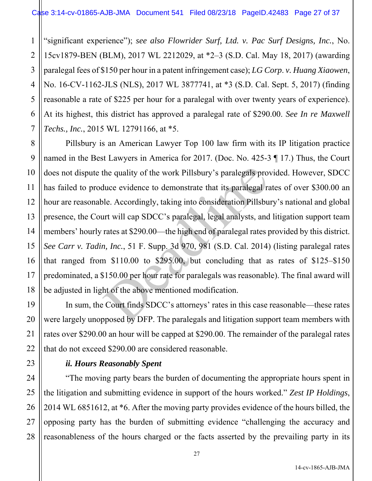1 2 3 4 5 6 7 "significant experience"); *see also Flowrider Surf, Ltd. v. Pac Surf Designs, Inc.*, No. 15cv1879-BEN (BLM), 2017 WL 2212029, at \*2–3 (S.D. Cal. May 18, 2017) (awarding paralegal fees of \$150 per hour in a patent infringement case); *LG Corp*. *v. Huang Xiaowen*, No. 16-CV-1162-JLS (NLS), 2017 WL 3877741, at \*3 (S.D. Cal. Sept. 5, 2017) (finding reasonable a rate of \$225 per hour for a paralegal with over twenty years of experience). At its highest, this district has approved a paralegal rate of \$290.00. *See In re Maxwell Techs., Inc.*, 2015 WL 12791166, at \*5.

8 9 10 11 12 13 14 15 16 17 18 Pillsbury is an American Lawyer Top 100 law firm with its IP litigation practice named in the Best Lawyers in America for 2017. (Doc. No. 425-3 ¶ 17.) Thus, the Court does not dispute the quality of the work Pillsbury's paralegals provided. However, SDCC has failed to produce evidence to demonstrate that its paralegal rates of over \$300.00 an hour are reasonable. Accordingly, taking into consideration Pillsbury's national and global presence, the Court will cap SDCC's paralegal, legal analysts, and litigation support team members' hourly rates at \$290.00—the high end of paralegal rates provided by this district. *See Carr v. Tadin, Inc.*, 51 F. Supp. 3d 970, 981 (S.D. Cal. 2014) (listing paralegal rates that ranged from \$110.00 to \$295.00, but concluding that as rates of \$125–\$150 predominated, a \$150.00 per hour rate for paralegals was reasonable). The final award will be adjusted in light of the above mentioned modification. the quality of the work Pillsbury's paralegals pro-<br>three evidence to demonstrate that its paralegal rale. Accordingly, taking into consideration Pillsbu<br>urt will cap SDCC's paralegal, legal analysts, and<br>rates at \$290.00—

 In sum, the Court finds SDCC's attorneys' rates in this case reasonable—these rates were largely unopposed by DFP. The paralegals and litigation support team members with rates over \$290.00 an hour will be capped at \$290.00. The remainder of the paralegal rates that do not exceed \$290.00 are considered reasonable.

## *ii. Hours Reasonably Spent*

19

20

21

22

23

24

25

26

27

28

 "The moving party bears the burden of documenting the appropriate hours spent in the litigation and submitting evidence in support of the hours worked." *Zest IP Holdings*, 2014 WL 6851612, at \*6. After the moving party provides evidence of the hours billed, the opposing party has the burden of submitting evidence "challenging the accuracy and reasonableness of the hours charged or the facts asserted by the prevailing party in its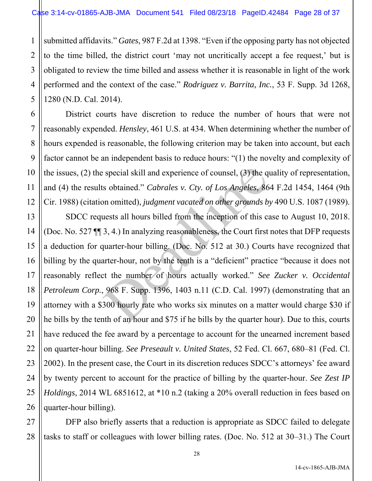1 2 3 submitted affidavits." *Gates*, 987 F.2d at 1398. "Even if the opposing party has not objected to the time billed, the district court 'may not uncritically accept a fee request,' but is obligated to review the time billed and assess whether it is reasonable in light of the work performed and the context of the case." *Rodriguez v. Barrita, Inc.*, 53 F. Supp. 3d 1268, 1280 (N.D. Cal. 2014).

 District courts have discretion to reduce the number of hours that were not reasonably expended. *Hensley*, 461 U.S. at 434. When determining whether the number of hours expended is reasonable, the following criterion may be taken into account, but each factor cannot be an independent basis to reduce hours: "(1) the novelty and complexity of the issues, (2) the special skill and experience of counsel, (3) the quality of representation, and (4) the results obtained." *Cabrales v. Cty. of Los Angeles*, 864 F.2d 1454, 1464 (9th Cir. 1988) (citation omitted), *judgment vacated on other grounds by* 490 U.S. 1087 (1989).

 SDCC requests all hours billed from the inception of this case to August 10, 2018. (Doc. No. 527 ¶¶ 3, 4.) In analyzing reasonableness, the Court first notes that DFP requests a deduction for quarter-hour billing. (Doc. No. 512 at 30.) Courts have recognized that billing by the quarter-hour, not by the tenth is a "deficient" practice "because it does not reasonably reflect the number of hours actually worked." *See Zucker v. Occidental Petroleum Corp.*, 968 F. Supp. 1396, 1403 n.11 (C.D. Cal. 1997) (demonstrating that an attorney with a \$300 hourly rate who works six minutes on a matter would charge \$30 if he bills by the tenth of an hour and \$75 if he bills by the quarter hour). Due to this, courts have reduced the fee award by a percentage to account for the unearned increment based on quarter-hour billing. *See Preseault v. United States*, 52 Fed. Cl. 667, 680–81 (Fed. Cl. 2002). In the present case, the Court in its discretion reduces SDCC's attorneys' fee award by twenty percent to account for the practice of billing by the quarter-hour. *See Zest IP Holdings*, 2014 WL 6851612, at \*10 n.2 (taking a 20% overall reduction in fees based on quarter-hour billing). s pecial skill and experience of counsel, (3) the q<br>is obtained." *Cabrales v. Cty. of Los Angeles*, 86<br>on omitted), *judgment vacated on other grounds b*<br>uests all hours billed from the inception of this ca<br>3, 4.) In anal

DFP also briefly asserts that a reduction is appropriate as SDCC failed to delegate tasks to staff or colleagues with lower billing rates. (Doc. No. 512 at 30–31.) The Court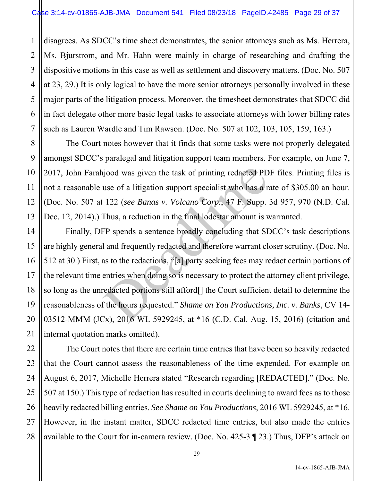1 2 3 4 5 6 7 disagrees. As SDCC's time sheet demonstrates, the senior attorneys such as Ms. Herrera, Ms. Bjurstrom, and Mr. Hahn were mainly in charge of researching and drafting the dispositive motions in this case as well as settlement and discovery matters. (Doc. No. 507 at 23, 29.) It is only logical to have the more senior attorneys personally involved in these major parts of the litigation process. Moreover, the timesheet demonstrates that SDCC did in fact delegate other more basic legal tasks to associate attorneys with lower billing rates such as Lauren Wardle and Tim Rawson. (Doc. No. 507 at 102, 103, 105, 159, 163.)

 The Court notes however that it finds that some tasks were not properly delegated amongst SDCC's paralegal and litigation support team members. For example, on June 7, 2017, John Farahjood was given the task of printing redacted PDF files. Printing files is not a reasonable use of a litigation support specialist who has a rate of \$305.00 an hour. (Doc. No. 507 at 122 (*see Banas v. Volcano Corp.*, 47 F. Supp. 3d 957, 970 (N.D. Cal. Dec. 12, 2014).) Thus, a reduction in the final lodestar amount is warranted.

 Finally, DFP spends a sentence broadly concluding that SDCC's task descriptions are highly general and frequently redacted and therefore warrant closer scrutiny. (Doc. No. 512 at 30.) First, as to the redactions, "[a] party seeking fees may redact certain portions of the relevant time entries when doing so is necessary to protect the attorney client privilege, so long as the unredacted portions still afford[] the Court sufficient detail to determine the reasonableness of the hours requested." *Shame on You Productions, Inc. v. Banks*, CV 14- 03512-MMM (JCx), 2016 WL 5929245, at \*16 (C.D. Cal. Aug. 15, 2016) (citation and internal quotation marks omitted). ujood was given the task of printing redacted PD<br>use of a litigation support specialist who has a r.<br>122 (*see Banas v. Volcano Corp.*, 47 F. Supp.<br>Thus, a reduction in the final lodestar amount is v<br>FP spends a sentence b

 The Court notes that there are certain time entries that have been so heavily redacted that the Court cannot assess the reasonableness of the time expended. For example on August 6, 2017, Michelle Herrera stated "Research regarding [REDACTED]." (Doc. No. 507 at 150.) This type of redaction has resulted in courts declining to award fees as to those heavily redacted billing entries. *See Shame on You Productions*, 2016 WL 5929245, at \*16. However, in the instant matter, SDCC redacted time entries, but also made the entries available to the Court for in-camera review. (Doc. No. 425-3 ¶ 23.) Thus, DFP's attack on

8

9

10

11

12

13

14

15

16

17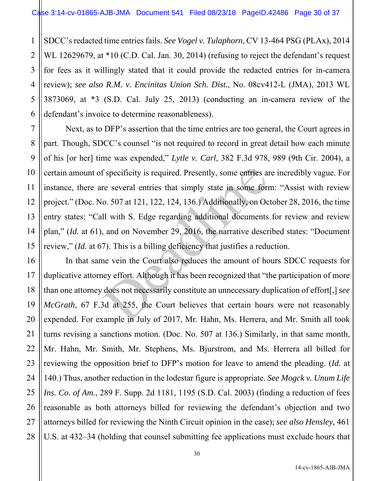1 2 3 4 5 6 SDCC's redacted time entries fails. *See Vogel v. Tulaphorn*, CV 13-464 PSG (PLAx), 2014 WL 12629679, at \*10 (C.D. Cal. Jan. 30, 2014) (refusing to reject the defendant's request for fees as it willingly stated that it could provide the redacted entries for in-camera review); *see also R.M. v. Encinitas Union Sch. Dist.*, No. 08cv412-L (JMA), 2013 WL 3873069, at \*3 (S.D. Cal. July 25, 2013) (conducting an in-camera review of the defendant's invoice to determine reasonableness).

7

11

8 9 10 12 13 14 15 Next, as to DFP's assertion that the time entries are too general, the Court agrees in part. Though, SDCC's counsel "is not required to record in great detail how each minute of his [or her] time was expended," *Lytle v. Carl*, 382 F.3d 978, 989 (9th Cir. 2004), a certain amount of specificity is required. Presently, some entries are incredibly vague. For instance, there are several entries that simply state in some form: "Assist with review project." (Doc. No. 507 at 121, 122, 124, 136.) Additionally, on October 28, 2016, the time entry states: "Call with S. Edge regarding additional documents for review and review plan," (*Id.* at 61), and on November 29, 2016, the narrative described states: "Document review," (*Id.* at 67). This is a billing deficiency that justifies a reduction. f specificity is required. Presently, some entries and<br>re several entries that simply state in some form<br>o. 507 at 121, 122, 124, 136.) Additionally, on Oc<br>Il with S. Edge regarding additional documents<br>, and on November 2

16 17 18 19 20 21 22 23 24 25 26 27 28 In that same vein the Court also reduces the amount of hours SDCC requests for duplicative attorney effort. Although it has been recognized that "the participation of more than one attorney does not necessarily constitute an unnecessary duplication of effort[,] *see McGrath*, 67 F.3d at 255, the Court believes that certain hours were not reasonably expended. For example in July of 2017, Mr. Hahn, Ms. Herrera, and Mr. Smith all took turns revising a sanctions motion. (Doc. No. 507 at 136.) Similarly, in that same month, Mr. Hahn, Mr. Smith, Mr. Stephens, Ms. Bjurstrom, and Ms. Herrera all billed for reviewing the opposition brief to DFP's motion for leave to amend the pleading. (*Id.* at 140.) Thus, another reduction in the lodestar figure is appropriate. *See Mogck v. Unum Life Ins. Co. of Am.*, 289 F. Supp. 2d 1181, 1195 (S.D. Cal. 2003) (finding a reduction of fees reasonable as both attorneys billed for reviewing the defendant's objection and two attorneys billed for reviewing the Ninth Circuit opinion in the case); *see also Hensley*, 461 U.S. at 432–34 (holding that counsel submitting fee applications must exclude hours that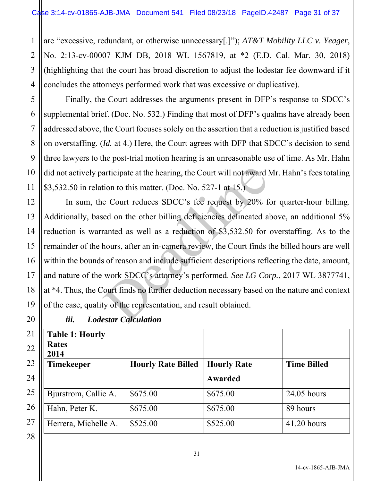1 2 3 4 are "excessive, redundant, or otherwise unnecessary[.]"); *AT&T Mobility LLC v. Yeager*, No. 2:13-cv-00007 KJM DB, 2018 WL 1567819, at \*2 (E.D. Cal. Mar. 30, 2018) (highlighting that the court has broad discretion to adjust the lodestar fee downward if it concludes the attorneys performed work that was excessive or duplicative).

5 6 7 8 9 10 11 Finally, the Court addresses the arguments present in DFP's response to SDCC's supplemental brief. (Doc. No. 532.) Finding that most of DFP's qualms have already been addressed above, the Court focuses solely on the assertion that a reduction is justified based on overstaffing. (*Id.* at 4.) Here, the Court agrees with DFP that SDCC's decision to send three lawyers to the post-trial motion hearing is an unreasonable use of time. As Mr. Hahn did not actively participate at the hearing, the Court will not award Mr. Hahn's fees totaling \$3,532.50 in relation to this matter. (Doc. No. 527-1 at 15.)

12 In sum, the Court reduces SDCC's fee request by 20% for quarter-hour billing. Additionally, based on the other billing deficiencies delineated above, an additional 5% reduction is warranted as well as a reduction of \$3,532.50 for overstaffing. As to the remainder of the hours, after an in-camera review, the Court finds the billed hours are well within the bounds of reason and include sufficient descriptions reflecting the date, amount, and nature of the work SDCC's attorney's performed. *See LG Corp.*, 2017 WL 3877741, at \*4. Thus, the Court finds no further deduction necessary based on the nature and context of the case, quality of the representation, and result obtained. articipate at the hearing, the Court will not award l<br>tion to this matter. (Doc. No. 527-1 at 15.)<br>e Court reduces SDCC's fee request by 20% field on the other billing deficiencies delineated a<br>ranted as well as a reductio

| iii.<br><b>Lodestar Calculation</b> |                           |                    |                    |  |  |
|-------------------------------------|---------------------------|--------------------|--------------------|--|--|
| <b>Table 1: Hourly</b>              |                           |                    |                    |  |  |
| <b>Rates</b>                        |                           |                    |                    |  |  |
| 2014                                |                           |                    |                    |  |  |
| <b>Timekeeper</b>                   | <b>Hourly Rate Billed</b> | <b>Hourly Rate</b> | <b>Time Billed</b> |  |  |
|                                     |                           | Awarded            |                    |  |  |
| Bjurstrom, Callie A.                | \$675.00                  | \$675.00           | 24.05 hours        |  |  |
| Hahn, Peter K.                      | \$675.00                  | \$675.00           | 89 hours           |  |  |
| Herrera, Michelle A.                | \$525.00                  | \$525.00           | 41.20 hours        |  |  |

13

14

15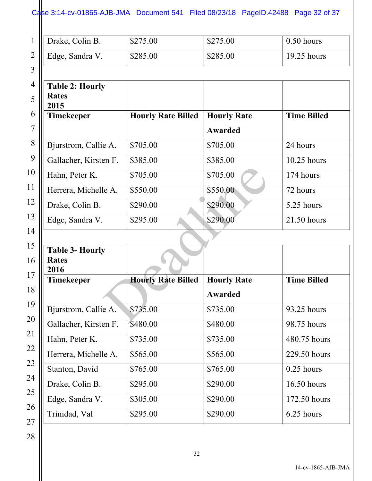# Case 3:14-cv-01865-AJB-JMA Document 541 Filed 08/23/18 PageID.42488 Page 32 of 37

| $1$    Drake, Colin B. | \$275.00 | \$275.00 | $0.50$ hours  |
|------------------------|----------|----------|---------------|
| 2    Edge, Sandra V.   | \$285.00 | \$285.00 | $19.25$ hours |

| <b>Table 2: Hourly</b><br><b>Rates</b><br>2015 |                           |                    |                    |
|------------------------------------------------|---------------------------|--------------------|--------------------|
| <b>Timekeeper</b>                              | <b>Hourly Rate Billed</b> | <b>Hourly Rate</b> | <b>Time Billed</b> |
|                                                |                           | Awarded            |                    |
| Bjurstrom, Callie A.                           | \$705.00                  | \$705.00           | 24 hours           |
| Gallacher, Kirsten F.                          | \$385.00                  | \$385.00           | $10.25$ hours      |
| Hahn, Peter K.                                 | \$705.00                  | \$705.00           | 174 hours          |
| Herrera, Michelle A.                           | \$550.00                  | \$550.00           | 72 hours           |
| Drake, Colin B.                                | \$290.00                  | \$290.00           | 5.25 hours         |
| Edge, Sandra V.                                | \$295.00                  | \$290.00           | 21.50 hours        |

| Hahn, Peter K.         | \$705.00                  | \$705.00           | 174 hours          |
|------------------------|---------------------------|--------------------|--------------------|
| Herrera, Michelle A.   | \$550.00                  | \$550.00           | 72 hours           |
| Drake, Colin B.        | \$290.00                  | \$290.00           | 5.25 hours         |
| Edge, Sandra V.        | \$295.00                  | \$290.00           | 21.50 hours        |
|                        |                           |                    |                    |
| <b>Table 3- Hourly</b> |                           |                    |                    |
| <b>Rates</b>           |                           |                    |                    |
| 2016<br>Timekeeper     | <b>Hourly Rate Billed</b> | <b>Hourly Rate</b> | <b>Time Billed</b> |
|                        |                           | <b>Awarded</b>     |                    |
| Bjurstrom, Callie A.   | \$735.00                  | \$735.00           | 93.25 hours        |
| Gallacher, Kirsten F.  | \$480.00                  | \$480.00           | 98.75 hours        |
| Hahn, Peter K.         | \$735.00                  | \$735.00           | 480.75 hours       |
| Herrera, Michelle A.   | \$565.00                  | \$565.00           | 229.50 hours       |
| Stanton, David         | \$765.00                  | \$765.00           | $0.25$ hours       |
| Drake, Colin B.        | \$295.00                  | \$290.00           | 16.50 hours        |
| Edge, Sandra V.        | \$305.00                  | \$290.00           | 172.50 hours       |
| Trinidad, Val          | \$295.00                  | \$290.00           | 6.25 hours         |
|                        |                           |                    |                    |

 $3$ 4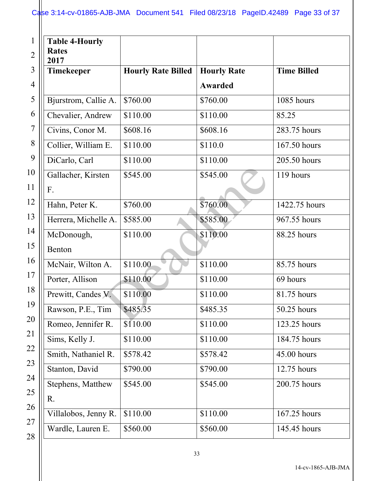| <b>Table 4-Hourly</b><br><b>Rates</b><br>2017 |                           |                               |                    |
|-----------------------------------------------|---------------------------|-------------------------------|--------------------|
| Timekeeper                                    | <b>Hourly Rate Billed</b> | <b>Hourly Rate</b><br>Awarded | <b>Time Billed</b> |
| Bjurstrom, Callie A.                          | \$760.00                  | \$760.00                      | 1085 hours         |
| Chevalier, Andrew                             | \$110.00                  | \$110.00                      | 85.25              |
| Civins, Conor M.                              | \$608.16                  | \$608.16                      | 283.75 hours       |
| Collier, William E.                           | \$110.00                  | \$110.0                       | 167.50 hours       |
| DiCarlo, Carl                                 | \$110.00                  | \$110.00                      | 205.50 hours       |
| Gallacher, Kirsten<br>F.                      | \$545.00                  | \$545.00                      | 119 hours          |
| Hahn, Peter K.                                | \$760.00                  | \$760.00                      | 1422.75 hours      |
| Herrera, Michelle A.                          | \$585.00                  | \$585.00                      | 967.55 hours       |
| McDonough,<br>Benton                          | \$110.00                  | \$110.00                      | 88.25 hours        |
| McNair, Wilton A.                             | \$110.00                  | \$110.00                      | 85.75 hours        |
| Porter, Allison                               | \$110.00                  | \$110.00                      | 69 hours           |
| Prewitt, Candes V.                            | \$110.00                  | \$110.00                      | 81.75 hours        |
| Rawson, P.E., Tim                             | \$485.35                  | \$485.35                      | 50.25 hours        |
| Romeo, Jennifer R.                            | \$110.00                  | \$110.00                      | 123.25 hours       |
| Sims, Kelly J.                                | \$110.00                  | \$110.00                      | 184.75 hours       |
| Smith, Nathaniel R.                           | \$578.42                  | \$578.42                      | 45.00 hours        |
| Stanton, David                                | \$790.00                  | \$790.00                      | 12.75 hours        |
| Stephens, Matthew<br>R.                       | \$545.00                  | \$545.00                      | 200.75 hours       |
| Villalobos, Jenny R.                          | \$110.00                  | \$110.00                      | 167.25 hours       |
| Wardle, Lauren E.                             | \$560.00                  | \$560.00                      | 145.45 hours       |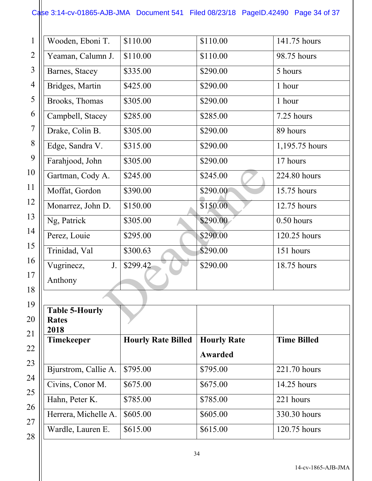# Case 3:14-cv-01865-AJB-JMA Document 541 Filed 08/23/18 PageID.42490 Page 34 of 37

| Wooden, Eboni T.      | \$110.00 | \$110.00 | 141.75 hours   |
|-----------------------|----------|----------|----------------|
| Yeaman, Calumn J.     | \$110.00 | \$110.00 | 98.75 hours    |
| Barnes, Stacey        | \$335.00 | \$290.00 | 5 hours        |
| Bridges, Martin       | \$425.00 | \$290.00 | 1 hour         |
| Brooks, Thomas        | \$305.00 | \$290.00 | 1 hour         |
| Campbell, Stacey      | \$285.00 | \$285.00 | 7.25 hours     |
| Drake, Colin B.       | \$305.00 | \$290.00 | 89 hours       |
| Edge, Sandra V.       | \$315.00 | \$290.00 | 1,195.75 hours |
| Farahjood, John       | \$305.00 | \$290.00 | 17 hours       |
| Gartman, Cody A.      | \$245.00 | \$245.00 | 224.80 hours   |
| Moffat, Gordon        | \$390.00 | \$290.00 | 15.75 hours    |
| Monarrez, John D.     | \$150.00 | \$150.00 | 12.75 hours    |
| Ng, Patrick           | \$305.00 | \$290.00 | $0.50$ hours   |
| Perez, Louie          | \$295.00 | \$290.00 | 120.25 hours   |
| Trinidad, Val         | \$300.63 | \$290.00 | 151 hours      |
| Vugrinecz,<br>J.      | \$299.42 | \$290.00 | 18.75 hours    |
| Anthony               |          |          |                |
|                       |          |          |                |
| <b>Table 5-Hourly</b> |          |          |                |
| <b>Rates</b>          |          |          |                |

| <b>Table 5-Hourly</b><br><b>Rates</b><br>2018 |                           |                    |                    |
|-----------------------------------------------|---------------------------|--------------------|--------------------|
| <b>Timekeeper</b>                             | <b>Hourly Rate Billed</b> | <b>Hourly Rate</b> | <b>Time Billed</b> |
|                                               |                           | Awarded            |                    |
| Bjurstrom, Callie A.                          | \$795.00                  | \$795.00           | 221.70 hours       |
| Civins, Conor M.                              | \$675.00                  | \$675.00           | 14.25 hours        |
| Hahn, Peter K.                                | \$785.00                  | \$785.00           | 221 hours          |
| Herrera, Michelle A.                          | \$605.00                  | \$605.00           | 330.30 hours       |
| Wardle, Lauren E.                             | \$615.00                  | \$615.00           | 120.75 hours       |

14-cv-1865-AJB-JMA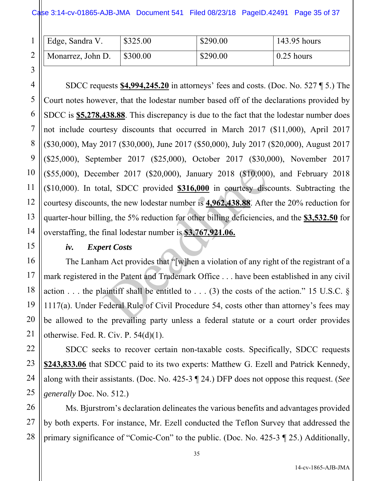| $1$    Edge, Sandra V. | \$325.00 | \$290.00 | 143.95 hours |
|------------------------|----------|----------|--------------|
| 2    Monarrez, John D. | \$300.00 | \$290.00 | $0.25$ hours |

 SDCC requests **\$4,994,245.20** in attorneys' fees and costs. (Doc. No. 527 ¶ 5.) The Court notes however, that the lodestar number based off of the declarations provided by SDCC is **\$5,278,438.88**. This discrepancy is due to the fact that the lodestar number does not include courtesy discounts that occurred in March 2017 (\$11,000), April 2017 (\$30,000), May 2017 (\$30,000), June 2017 (\$50,000), July 2017 (\$20,000), August 2017 (\$25,000), September 2017 (\$25,000), October 2017 (\$30,000), November 2017 (\$55,000), December 2017 (\$20,000), January 2018 (\$10,000), and February 2018 (\$10,000). In total, SDCC provided **\$316,000** in courtesy discounts. Subtracting the courtesy discounts, the new lodestar number is **4,962,438.88**. After the 20% reduction for quarter-hour billing, the 5% reduction for other billing deficiencies, and the **\$3,532.50** for overstaffing, the final lodestar number is **\$3,767,921.06.** mber 2017 (\$20,000), January 2018 (\$10,000<br>tal, SDCC provided  $$316,000$  in courtesy disc<br>s, the new lodestar number is  $4.962,438.88$ . Afte<br>ng, the 5% reduction for other billing deficiencie:<br>final lodestar number is  $$3$ 

### *iv. Expert Costs*

 The Lanham Act provides that "[w]hen a violation of any right of the registrant of a mark registered in the Patent and Trademark Office . . . have been established in any civil action  $\dots$  the plaintiff shall be entitled to  $\dots$  (3) the costs of the action." 15 U.S.C.  $\delta$ 1117(a). Under Federal Rule of Civil Procedure 54, costs other than attorney's fees may be allowed to the prevailing party unless a federal statute or a court order provides otherwise. Fed. R. Civ. P. 54(d)(1).

 SDCC seeks to recover certain non-taxable costs. Specifically, SDCC requests **\$243,833.06** that SDCC paid to its two experts: Matthew G. Ezell and Patrick Kennedy, along with their assistants. (Doc. No. 425-3 ¶ 24.) DFP does not oppose this request. (*See generally* Doc. No. 512.)

 Ms. Bjurstrom's declaration delineates the various benefits and advantages provided by both experts. For instance, Mr. Ezell conducted the Teflon Survey that addressed the primary significance of "Comic-Con" to the public. (Doc. No. 425-3 ¶ 25.) Additionally,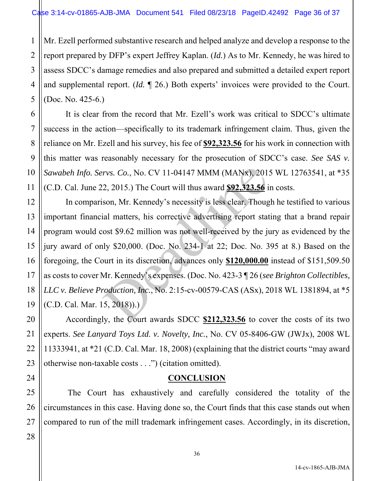1 2 3 4 5 Mr. Ezell performed substantive research and helped analyze and develop a response to the report prepared by DFP's expert Jeffrey Kaplan. (*Id.*) As to Mr. Kennedy, he was hired to assess SDCC's damage remedies and also prepared and submitted a detailed expert report and supplemental report. (*Id.* ¶ 26.) Both experts' invoices were provided to the Court. (Doc. No. 425-6.)

 It is clear from the record that Mr. Ezell's work was critical to SDCC's ultimate success in the action—specifically to its trademark infringement claim. Thus, given the reliance on Mr. Ezell and his survey, his fee of **\$92,323.56** for his work in connection with this matter was reasonably necessary for the prosecution of SDCC's case. *See SAS v. Sawabeh Info. Servs. Co.*, No. CV 11-04147 MMM (MANx), 2015 WL 12763541, at \*35 (C.D. Cal. June 22, 2015.) The Court will thus award **\$92,323.56** in costs.

12 19 In comparison, Mr. Kennedy's necessity is less clear. Though he testified to various important financial matters, his corrective advertising report stating that a brand repair program would cost \$9.62 million was not well-received by the jury as evidenced by the jury award of only \$20,000. (Doc. No. 234-1 at 22; Doc. No. 395 at 8.) Based on the foregoing, the Court in its discretion, advances only **\$120,000.00** instead of \$151,509.50 as costs to cover Mr. Kennedy's expenses. (Doc. No. 423-3 ¶ 26 (*see Brighton Collectibles, LLC v. Believe Production, Inc.*, No. 2:15-cv-00579-CAS (ASx), 2018 WL 1381894, at \*5 (C.D. Cal. Mar. 15, 2018)).) rvs. Co., No. CV 11-04147 MMM (MANx), 201:<br>2, 2015.) The Court will thus award **\$92,323.56** i<br>son, Mr. Kennedy's necessity is less clear. Thoug<br>ial matters, his corrective advertising report stat<br>ost \$9.62 million was not

 Accordingly, the Court awards SDCC **\$212,323.56** to cover the costs of its two experts. *See Lanyard Toys Ltd. v. Novelty, Inc.*, No. CV 05-8406-GW (JWJx), 2008 WL 11333941, at \*21 (C.D. Cal. Mar. 18, 2008) (explaining that the district courts "may award otherwise non-taxable costs . . .") (citation omitted).

## **CONCLUSION**

25 The Court has exhaustively and carefully considered the totality of the circumstances in this case. Having done so, the Court finds that this case stands out when compared to run of the mill trademark infringement cases. Accordingly, in its discretion,

6

7

8

9

10

11

13

14

15

16

17

18

20

21

22

23